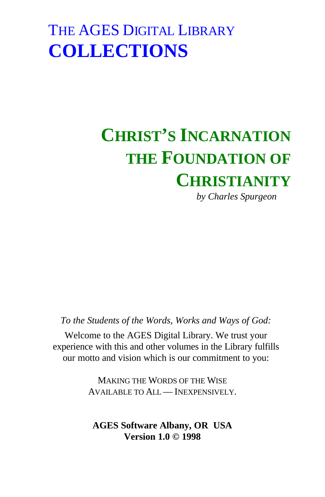# **CHRIST'S INCARNATION THE FOUNDATION OF CHRISTIANITY**

*by Charles Spurgeon*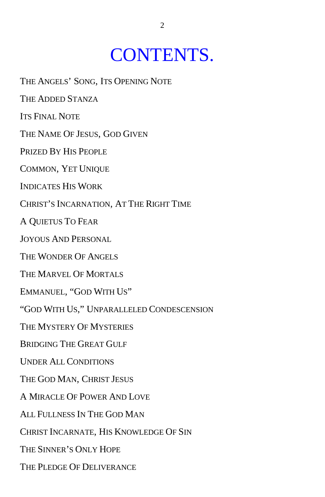#### CONTENTS.

THE ANGELS' SONG, ITS OPENING NOTE

THE ADDED STANZA

ITS FINAL NOTE

THE NAME OF JESUS, GOD GIVEN

PRIZED BY HIS PEOPLE

COMMON, YET UNIQUE

INDICATES HIS WORK

CHRIST'S INCARNATION, AT THE RIGHT TIME

A QUIETUS TO FEAR

JOYOUS AND PERSONAL

THE WONDER OF ANGELS

THE MARVEL OF MORTALS

EMMANUEL, "GOD WITH US"

"GOD WITH US," UNPARALLELED CONDESCENSION

THE MYSTERY OF MYSTERIES

BRIDGING THE GREAT GULF

UNDER ALL CONDITIONS

THE GOD MAN, CHRIST JESUS

A MIRACLE OF POWER AND LOVE

ALL FULLNESS IN THE GOD MAN

CHRIST INCARNATE, HIS KNOWLEDGE OF SIN

THE SINNER'S ONLY HOPE

THE PLEDGE OF DELIVERANCE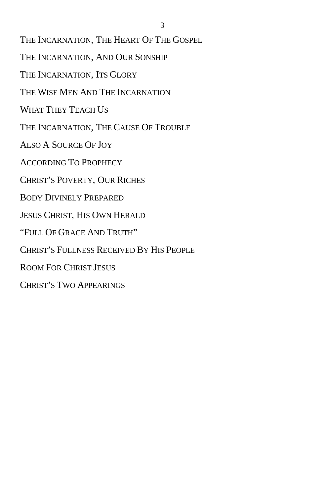THE INCARNATION, THE HEART OF THE GOSPEL

THE INCARNATION, AND OUR SONSHIP

THE INCARNATION, ITS GLORY

THE WISE MEN AND THE INCARNATION

WHAT THEY TEACH US

THE INCARNATION, THE CAUSE OF TROUBLE

ALSO A SOURCE OF JOY

ACCORDING TO PROPHECY

CHRIST'S POVERTY, OUR RICHES

BODY DIVINELY PREPARED

JESUS CHRIST, HIS OWN HERALD

"FULL OF GRACE AND TRUTH"

CHRIST'S FULLNESS RECEIVED BY HIS PEOPLE

ROOM FOR CHRIST JESUS

CHRIST'S TWO APPEARINGS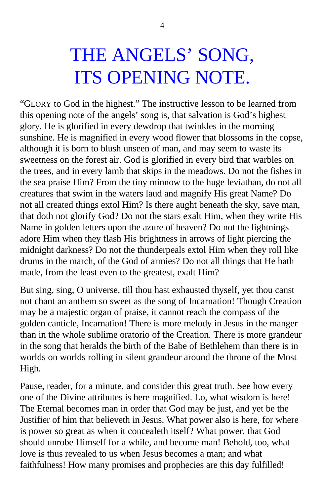### THE ANGELS' SONG, ITS OPENING NOTE.

"GLORY to God in the highest." The instructive lesson to be learned from this opening note of the angels' song is, that salvation is God's highest glory. He is glorified in every dewdrop that twinkles in the morning sunshine. He is magnified in every wood flower that blossoms in the copse, although it is born to blush unseen of man, and may seem to waste its sweetness on the forest air. God is glorified in every bird that warbles on the trees, and in every lamb that skips in the meadows. Do not the fishes in the sea praise Him? From the tiny minnow to the huge leviathan, do not all creatures that swim in the waters laud and magnify His great Name? Do not all created things extol Him? Is there aught beneath the sky, save man, that doth not glorify God? Do not the stars exalt Him, when they write His Name in golden letters upon the azure of heaven? Do not the lightnings adore Him when they flash His brightness in arrows of light piercing the midnight darkness? Do not the thunderpeals extol Him when they roll like drums in the march, of the God of armies? Do not all things that He hath made, from the least even to the greatest, exalt Him?

But sing, sing, O universe, till thou hast exhausted thyself, yet thou canst not chant an anthem so sweet as the song of Incarnation! Though Creation may be a majestic organ of praise, it cannot reach the compass of the golden canticle, Incarnation! There is more melody in Jesus in the manger than in the whole sublime oratorio of the Creation. There is more grandeur in the song that heralds the birth of the Babe of Bethlehem than there is in worlds on worlds rolling in silent grandeur around the throne of the Most High.

Pause, reader, for a minute, and consider this great truth. See how every one of the Divine attributes is here magnified. Lo, what wisdom is here! The Eternal becomes man in order that God may be just, and yet be the Justifier of him that believeth in Jesus. What power also is here, for where is power so great as when it concealeth itself? What power, that God should unrobe Himself for a while, and become man! Behold, too, what love is thus revealed to us when Jesus becomes a man; and what faithfulness! How many promises and prophecies are this day fulfilled!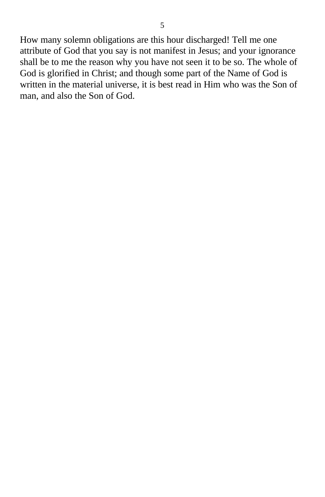How many solemn obligations are this hour discharged! Tell me one attribute of God that you say is not manifest in Jesus; and your ignorance shall be to me the reason why you have not seen it to be so. The whole of God is glorified in Christ; and though some part of the Name of God is written in the material universe, it is best read in Him who was the Son of man, and also the Son of God.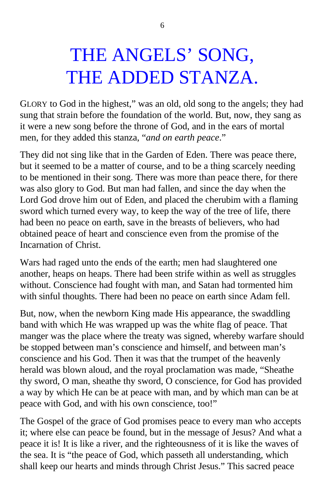## THE ANGELS' SONG, THE ADDED STANZA.

GLORY to God in the highest," was an old, old song to the angels; they had sung that strain before the foundation of the world. But, now, they sang as it were a new song before the throne of God, and in the ears of mortal men, for they added this stanza, "*and on earth peace*."

They did not sing like that in the Garden of Eden. There was peace there, but it seemed to be a matter of course, and to be a thing scarcely needing to be mentioned in their song. There was more than peace there, for there was also glory to God. But man had fallen, and since the day when the Lord God drove him out of Eden, and placed the cherubim with a flaming sword which turned every way, to keep the way of the tree of life, there had been no peace on earth, save in the breasts of believers, who had obtained peace of heart and conscience even from the promise of the Incarnation of Christ.

Wars had raged unto the ends of the earth; men had slaughtered one another, heaps on heaps. There had been strife within as well as struggles without. Conscience had fought with man, and Satan had tormented him with sinful thoughts. There had been no peace on earth since Adam fell.

But, now, when the newborn King made His appearance, the swaddling band with which He was wrapped up was the white flag of peace. That manger was the place where the treaty was signed, whereby warfare should be stopped between man's conscience and himself, and between man's conscience and his God. Then it was that the trumpet of the heavenly herald was blown aloud, and the royal proclamation was made, "Sheathe thy sword, O man, sheathe thy sword, O conscience, for God has provided a way by which He can be at peace with man, and by which man can be at peace with God, and with his own conscience, too!"

The Gospel of the grace of God promises peace to every man who accepts it; where else can peace be found, but in the message of Jesus? And what a peace it is! It is like a river, and the righteousness of it is like the waves of the sea. It is "the peace of God, which passeth all understanding, which shall keep our hearts and minds through Christ Jesus." This sacred peace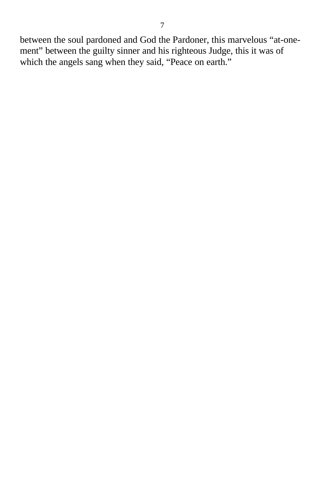between the soul pardoned and God the Pardoner, this marvelous "at-onement" between the guilty sinner and his righteous Judge, this it was of which the angels sang when they said, "Peace on earth."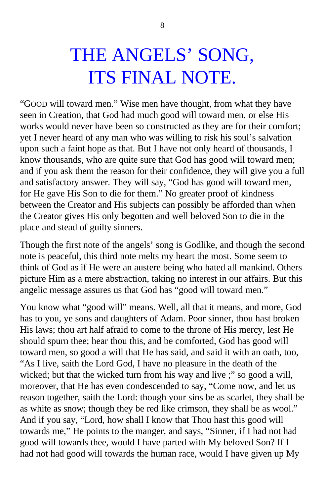#### THE ANGELS' SONG, ITS FINAL NOTE.

"GOOD will toward men." Wise men have thought, from what they have seen in Creation, that God had much good will toward men, or else His works would never have been so constructed as they are for their comfort; yet I never heard of any man who was willing to risk his soul's salvation upon such a faint hope as that. But I have not only heard of thousands, I know thousands, who are quite sure that God has good will toward men; and if you ask them the reason for their confidence, they will give you a full and satisfactory answer. They will say, "God has good will toward men, for He gave His Son to die for them." No greater proof of kindness between the Creator and His subjects can possibly be afforded than when the Creator gives His only begotten and well beloved Son to die in the place and stead of guilty sinners.

Though the first note of the angels' song is Godlike, and though the second note is peaceful, this third note melts my heart the most. Some seem to think of God as if He were an austere being who hated all mankind. Others picture Him as a mere abstraction, taking no interest in our affairs. But this angelic message assures us that God has "good will toward men."

You know what "good will" means. Well, all that it means, and more, God has to you, ye sons and daughters of Adam. Poor sinner, thou hast broken His laws; thou art half afraid to come to the throne of His mercy, lest He should spurn thee; hear thou this, and be comforted, God has good will toward men, so good a will that He has said, and said it with an oath, too, "As I live, saith the Lord God, I have no pleasure in the death of the wicked; but that the wicked turn from his way and live ;" so good a will, moreover, that He has even condescended to say, "Come now, and let us reason together, saith the Lord: though your sins be as scarlet, they shall be as white as snow; though they be red like crimson, they shall be as wool." And if you say, "Lord, how shall I know that Thou hast this good will towards me," He points to the manger, and says, "Sinner, if I had not had good will towards thee, would I have parted with My beloved Son? If I had not had good will towards the human race, would I have given up My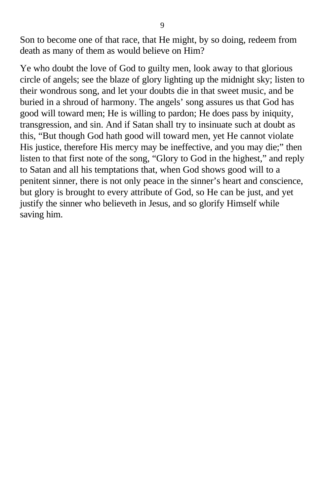Son to become one of that race, that He might, by so doing, redeem from death as many of them as would believe on Him?

Ye who doubt the love of God to guilty men, look away to that glorious circle of angels; see the blaze of glory lighting up the midnight sky; listen to their wondrous song, and let your doubts die in that sweet music, and be buried in a shroud of harmony. The angels' song assures us that God has good will toward men; He is willing to pardon; He does pass by iniquity, transgression, and sin. And if Satan shall try to insinuate such at doubt as this, "But though God hath good will toward men, yet He cannot violate His justice, therefore His mercy may be ineffective, and you may die;" then listen to that first note of the song, "Glory to God in the highest," and reply to Satan and all his temptations that, when God shows good will to a penitent sinner, there is not only peace in the sinner's heart and conscience, but glory is brought to every attribute of God, so He can be just, and yet justify the sinner who believeth in Jesus, and so glorify Himself while saving him.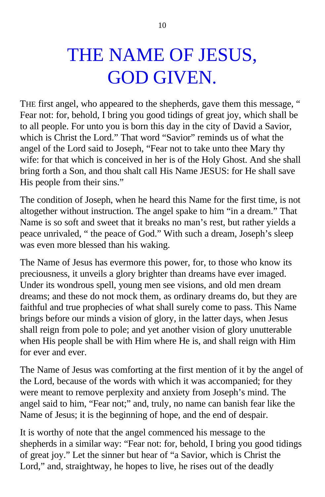#### THE NAME OF JESUS, GOD GIVEN.

THE first angel, who appeared to the shepherds, gave them this message, " Fear not: for, behold, I bring you good tidings of great joy, which shall be to all people. For unto you is born this day in the city of David a Savior, which is Christ the Lord." That word "Savior" reminds us of what the angel of the Lord said to Joseph, "Fear not to take unto thee Mary thy wife: for that which is conceived in her is of the Holy Ghost. And she shall bring forth a Son, and thou shalt call His Name JESUS: for He shall save His people from their sins."

The condition of Joseph, when he heard this Name for the first time, is not altogether without instruction. The angel spake to him "in a dream." That Name is so soft and sweet that it breaks no man's rest, but rather yields a peace unrivaled, " the peace of God." With such a dream, Joseph's sleep was even more blessed than his waking.

The Name of Jesus has evermore this power, for, to those who know its preciousness, it unveils a glory brighter than dreams have ever imaged. Under its wondrous spell, young men see visions, and old men dream dreams; and these do not mock them, as ordinary dreams do, but they are faithful and true prophecies of what shall surely come to pass. This Name brings before our minds a vision of glory, in the latter days, when Jesus shall reign from pole to pole; and yet another vision of glory unutterable when His people shall be with Him where He is, and shall reign with Him for ever and ever.

The Name of Jesus was comforting at the first mention of it by the angel of the Lord, because of the words with which it was accompanied; for they were meant to remove perplexity and anxiety from Joseph's mind. The angel said to him, "Fear not;" and, truly, no name can banish fear like the Name of Jesus; it is the beginning of hope, and the end of despair.

It is worthy of note that the angel commenced his message to the shepherds in a similar way: "Fear not: for, behold, I bring you good tidings of great joy." Let the sinner but hear of "a Savior, which is Christ the Lord," and, straightway, he hopes to live, he rises out of the deadly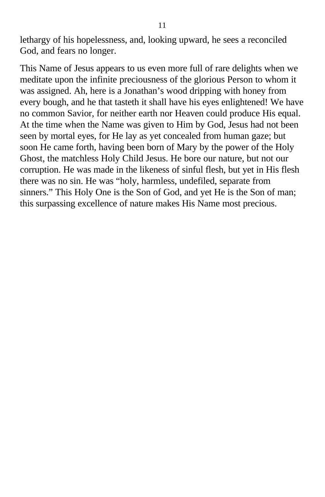lethargy of his hopelessness, and, looking upward, he sees a reconciled God, and fears no longer.

This Name of Jesus appears to us even more full of rare delights when we meditate upon the infinite preciousness of the glorious Person to whom it was assigned. Ah, here is a Jonathan's wood dripping with honey from every bough, and he that tasteth it shall have his eyes enlightened! We have no common Savior, for neither earth nor Heaven could produce His equal. At the time when the Name was given to Him by God, Jesus had not been seen by mortal eyes, for He lay as yet concealed from human gaze; but soon He came forth, having been born of Mary by the power of the Holy Ghost, the matchless Holy Child Jesus. He bore our nature, but not our corruption. He was made in the likeness of sinful flesh, but yet in His flesh there was no sin. He was "holy, harmless, undefiled, separate from sinners." This Holy One is the Son of God, and yet He is the Son of man; this surpassing excellence of nature makes His Name most precious.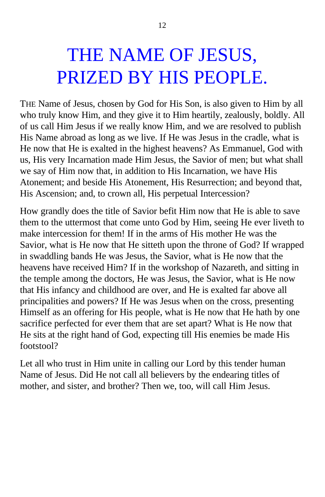#### THE NAME OF JESUS, PRIZED BY HIS PEOPLE.

THE Name of Jesus, chosen by God for His Son, is also given to Him by all who truly know Him, and they give it to Him heartily, zealously, boldly. All of us call Him Jesus if we really know Him, and we are resolved to publish His Name abroad as long as we live. If He was Jesus in the cradle, what is He now that He is exalted in the highest heavens? As Emmanuel, God with us, His very Incarnation made Him Jesus, the Savior of men; but what shall we say of Him now that, in addition to His Incarnation, we have His Atonement; and beside His Atonement, His Resurrection; and beyond that, His Ascension; and, to crown all, His perpetual Intercession?

How grandly does the title of Savior befit Him now that He is able to save them to the uttermost that come unto God by Him, seeing He ever liveth to make intercession for them! If in the arms of His mother He was the Savior, what is He now that He sitteth upon the throne of God? If wrapped in swaddling bands He was Jesus, the Savior, what is He now that the heavens have received Him? If in the workshop of Nazareth, and sitting in the temple among the doctors, He was Jesus, the Savior, what is He now that His infancy and childhood are over, and He is exalted far above all principalities and powers? If He was Jesus when on the cross, presenting Himself as an offering for His people, what is He now that He hath by one sacrifice perfected for ever them that are set apart? What is He now that He sits at the right hand of God, expecting till His enemies be made His footstool?

Let all who trust in Him unite in calling our Lord by this tender human Name of Jesus. Did He not call all believers by the endearing titles of mother, and sister, and brother? Then we, too, will call Him Jesus.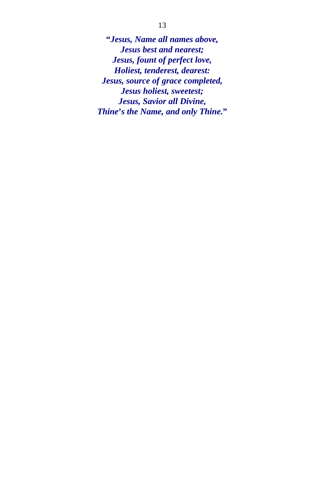**"***Jesus, Name all names above, Jesus best and nearest; Jesus, fount of perfect love, Holiest, tenderest, dearest: Jesus, source of grace completed, Jesus holiest, sweetest; Jesus, Savior all Divine, Thine***'***s the Name, and only Thine.***"**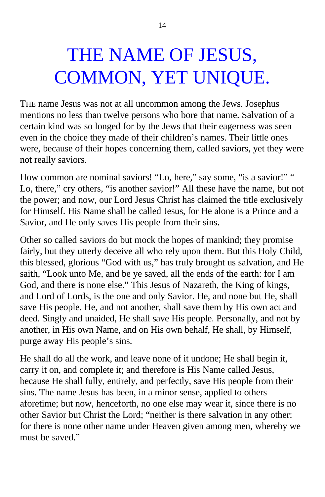## THE NAME OF JESUS, COMMON, YET UNIQUE.

THE name Jesus was not at all uncommon among the Jews. Josephus mentions no less than twelve persons who bore that name. Salvation of a certain kind was so longed for by the Jews that their eagerness was seen even in the choice they made of their children's names. Their little ones were, because of their hopes concerning them, called saviors, yet they were not really saviors.

How common are nominal saviors! "Lo, here," say some, "is a savior!" " Lo, there," cry others, "is another savior!" All these have the name, but not the power; and now, our Lord Jesus Christ has claimed the title exclusively for Himself. His Name shall be called Jesus, for He alone is a Prince and a Savior, and He only saves His people from their sins.

Other so called saviors do but mock the hopes of mankind; they promise fairly, but they utterly deceive all who rely upon them. But this Holy Child, this blessed, glorious "God with us," has truly brought us salvation, and He saith, "Look unto Me, and be ye saved, all the ends of the earth: for I am God, and there is none else." This Jesus of Nazareth, the King of kings, and Lord of Lords, is the one and only Savior. He, and none but He, shall save His people. He, and not another, shall save them by His own act and deed. Singly and unaided, He shall save His people. Personally, and not by another, in His own Name, and on His own behalf, He shall, by Himself, purge away His people's sins.

He shall do all the work, and leave none of it undone; He shall begin it, carry it on, and complete it; and therefore is His Name called Jesus, because He shall fully, entirely, and perfectly, save His people from their sins. The name Jesus has been, in a minor sense, applied to others aforetime; but now, henceforth, no one else may wear it, since there is no other Savior but Christ the Lord; "neither is there salvation in any other: for there is none other name under Heaven given among men, whereby we must be saved."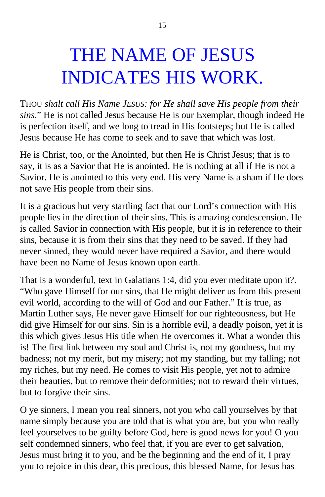### THE NAME OF JESUS INDICATES HIS WORK.

THOU *shalt call His Name JESUS: for He shall save His people from their sins*." He is not called Jesus because He is our Exemplar, though indeed He is perfection itself, and we long to tread in His footsteps; but He is called Jesus because He has come to seek and to save that which was lost.

He is Christ, too, or the Anointed, but then He is Christ Jesus; that is to say, it is as a Savior that He is anointed. He is nothing at all if He is not a Savior. He is anointed to this very end. His very Name is a sham if He does not save His people from their sins.

It is a gracious but very startling fact that our Lord's connection with His people lies in the direction of their sins. This is amazing condescension. He is called Savior in connection with His people, but it is in reference to their sins, because it is from their sins that they need to be saved. If they had never sinned, they would never have required a Savior, and there would have been no Name of Jesus known upon earth.

That is a wonderful, text in Galatians 1:4, did you ever meditate upon it?. "Who gave Himself for our sins, that He might deliver us from this present evil world, according to the will of God and our Father." It is true, as Martin Luther says, He never gave Himself for our righteousness, but He did give Himself for our sins. Sin is a horrible evil, a deadly poison, yet it is this which gives Jesus His title when He overcomes it. What a wonder this is! The first link between my soul and Christ is, not my goodness, but my badness; not my merit, but my misery; not my standing, but my falling; not my riches, but my need. He comes to visit His people, yet not to admire their beauties, but to remove their deformities; not to reward their virtues, but to forgive their sins.

O ye sinners, I mean you real sinners, not you who call yourselves by that name simply because you are told that is what you are, but you who really feel yourselves to be guilty before God, here is good news for you! O you self condemned sinners, who feel that, if you are ever to get salvation, Jesus must bring it to you, and be the beginning and the end of it, I pray you to rejoice in this dear, this precious, this blessed Name, for Jesus has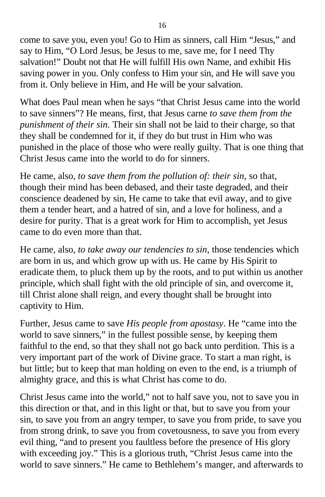come to save you, even you! Go to Him as sinners, call Him "Jesus," and say to Him, "O Lord Jesus, be Jesus to me, save me, for I need Thy salvation!" Doubt not that He will fulfill His own Name, and exhibit His saving power in you. Only confess to Him your sin, and He will save you from it. Only believe in Him, and He will be your salvation.

What does Paul mean when he says "that Christ Jesus came into the world to save sinners"? He means, first, that Jesus carne *to save them from the punishment of their sin*. Their sin shall not be laid to their charge, so that they shall be condemned for it, if they do but trust in Him who was punished in the place of those who were really guilty. That is one thing that Christ Jesus came into the world to do for sinners.

He came, also, *to save them from the pollution of: their sin*, so that, though their mind has been debased, and their taste degraded, and their conscience deadened by sin, He came to take that evil away, and to give them a tender heart, and a hatred of sin, and a love for holiness, and a desire for purity. That is a great work for Him to accomplish, yet Jesus came to do even more than that.

He came, also, *to take away our tendencies to sin*, those tendencies which are born in us, and which grow up with us. He came by His Spirit to eradicate them, to pluck them up by the roots, and to put within us another principle, which shall fight with the old principle of sin, and overcome it, till Christ alone shall reign, and every thought shall be brought into captivity to Him.

Further, Jesus came to save *His people from apostasy*. He "came into the world to save sinners," in the fullest possible sense, by keeping them faithful to the end, so that they shall not go back unto perdition. This is a very important part of the work of Divine grace. To start a man right, is but little; but to keep that man holding on even to the end, is a triumph of almighty grace, and this is what Christ has come to do.

Christ Jesus came into the world," not to half save you, not to save you in this direction or that, and in this light or that, but to save you from your sin, to save you from an angry temper, to save you from pride, to save you from strong drink, to save you from covetousness, to save you from every evil thing, "and to present you faultless before the presence of His glory with exceeding joy." This is a glorious truth, "Christ Jesus came into the world to save sinners." He came to Bethlehem's manger, and afterwards to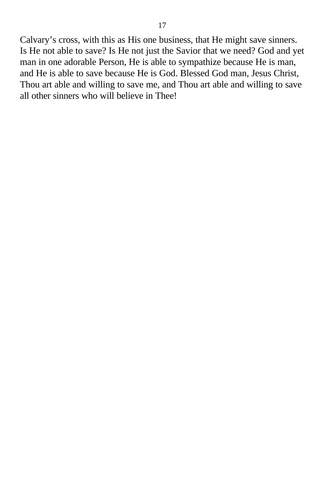Calvary's cross, with this as His one business, that He might save sinners. Is He not able to save? Is He not just the Savior that we need? God and yet man in one adorable Person, He is able to sympathize because He is man, and He is able to save because He is God. Blessed God man, Jesus Christ, Thou art able and willing to save me, and Thou art able and willing to save all other sinners who will believe in Thee!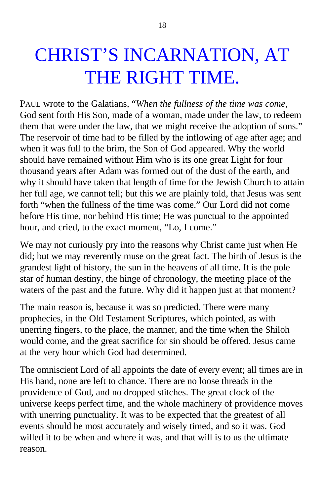#### CHRIST'S INCARNATION, AT THE RIGHT TIME.

PAUL wrote to the Galatians, "*When the fullness of the time was come*, God sent forth His Son, made of a woman, made under the law, to redeem them that were under the law, that we might receive the adoption of sons." The reservoir of time had to be filled by the inflowing of age after age; and when it was full to the brim, the Son of God appeared. Why the world should have remained without Him who is its one great Light for four thousand years after Adam was formed out of the dust of the earth, and why it should have taken that length of time for the Jewish Church to attain her full age, we cannot tell; but this we are plainly told, that Jesus was sent forth "when the fullness of the time was come." Our Lord did not come before His time, nor behind His time; He was punctual to the appointed hour, and cried, to the exact moment, "Lo, I come."

We may not curiously pry into the reasons why Christ came just when He did; but we may reverently muse on the great fact. The birth of Jesus is the grandest light of history, the sun in the heavens of all time. It is the pole star of human destiny, the hinge of chronology, the meeting place of the waters of the past and the future. Why did it happen just at that moment?

The main reason is, because it was so predicted. There were many prophecies, in the Old Testament Scriptures, which pointed, as with unerring fingers, to the place, the manner, and the time when the Shiloh would come, and the great sacrifice for sin should be offered. Jesus came at the very hour which God had determined.

The omniscient Lord of all appoints the date of every event; all times are in His hand, none are left to chance. There are no loose threads in the providence of God, and no dropped stitches. The great clock of the universe keeps perfect time, and the whole machinery of providence moves with unerring punctuality. It was to be expected that the greatest of all events should be most accurately and wisely timed, and so it was. God willed it to be when and where it was, and that will is to us the ultimate reason.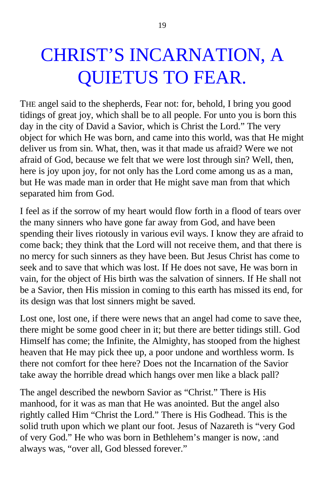## CHRIST'S INCARNATION, A QUIETUS TO FEAR.

THE angel said to the shepherds, Fear not: for, behold, I bring you good tidings of great joy, which shall be to all people. For unto you is born this day in the city of David a Savior, which is Christ the Lord." The very object for which He was born, and came into this world, was that He might deliver us from sin. What, then, was it that made us afraid? Were we not afraid of God, because we felt that we were lost through sin? Well, then, here is joy upon joy, for not only has the Lord come among us as a man, but He was made man in order that He might save man from that which separated him from God.

I feel as if the sorrow of my heart would flow forth in a flood of tears over the many sinners who have gone far away from God, and have been spending their lives riotously in various evil ways. I know they are afraid to come back; they think that the Lord will not receive them, and that there is no mercy for such sinners as they have been. But Jesus Christ has come to seek and to save that which was lost. If He does not save, He was born in vain, for the object of His birth was the salvation of sinners. If He shall not be a Savior, then His mission in coming to this earth has missed its end, for its design was that lost sinners might be saved.

Lost one, lost one, if there were news that an angel had come to save thee, there might be some good cheer in it; but there are better tidings still. God Himself has come; the Infinite, the Almighty, has stooped from the highest heaven that He may pick thee up, a poor undone and worthless worm. Is there not comfort for thee here? Does not the Incarnation of the Savior take away the horrible dread which hangs over men like a black pall?

The angel described the newborn Savior as "Christ." There is His manhood, for it was as man that He was anointed. But the angel also rightly called Him "Christ the Lord." There is His Godhead. This is the solid truth upon which we plant our foot. Jesus of Nazareth is "very God of very God." He who was born in Bethlehem's manger is now, :and always was, "over all, God blessed forever."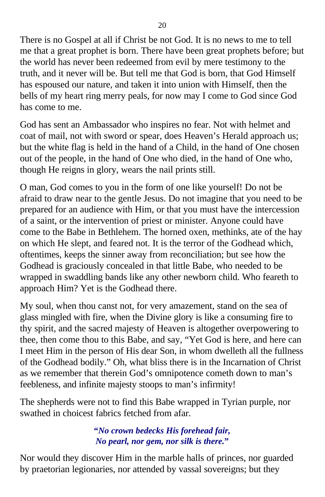There is no Gospel at all if Christ be not God. It is no news to me to tell me that a great prophet is born. There have been great prophets before; but the world has never been redeemed from evil by mere testimony to the truth, and it never will be. But tell me that God is born, that God Himself has espoused our nature, and taken it into union with Himself, then the bells of my heart ring merry peals, for now may I come to God since God has come to me.

God has sent an Ambassador who inspires no fear. Not with helmet and coat of mail, not with sword or spear, does Heaven's Herald approach us; but the white flag is held in the hand of a Child, in the hand of One chosen out of the people, in the hand of One who died, in the hand of One who, though He reigns in glory, wears the nail prints still.

O man, God comes to you in the form of one like yourself! Do not be afraid to draw near to the gentle Jesus. Do not imagine that you need to be prepared for an audience with Him, or that you must have the intercession of a saint, or the intervention of priest or minister. Anyone could have come to the Babe in Bethlehem. The horned oxen, methinks, ate of the hay on which He slept, and feared not. It is the terror of the Godhead which, oftentimes, keeps the sinner away from reconciliation; but see how the Godhead is graciously concealed in that little Babe, who needed to be wrapped in swaddling bands like any other newborn child. Who feareth to approach Him? Yet is the Godhead there.

My soul, when thou canst not, for very amazement, stand on the sea of glass mingled with fire, when the Divine glory is like a consuming fire to thy spirit, and the sacred majesty of Heaven is altogether overpowering to thee, then come thou to this Babe, and say, "Yet God is here, and here can I meet Him in the person of His dear Son, in whom dwelleth all the fullness of the Godhead bodily." Oh, what bliss there is in the Incarnation of Christ as we remember that therein God's omnipotence cometh down to man's feebleness, and infinite majesty stoops to man's infirmity!

The shepherds were not to find this Babe wrapped in Tyrian purple, nor swathed in choicest fabrics fetched from afar.

#### **"***No crown bedecks His forehead fair, No pearl, nor gem, nor silk is there.***"**

Nor would they discover Him in the marble halls of princes, nor guarded by praetorian legionaries, nor attended by vassal sovereigns; but they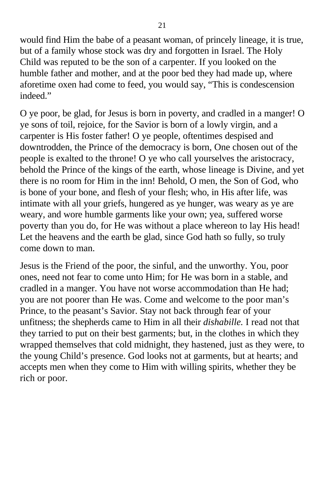would find Him the babe of a peasant woman, of princely lineage, it is true, but of a family whose stock was dry and forgotten in Israel. The Holy Child was reputed to be the son of a carpenter. If you looked on the humble father and mother, and at the poor bed they had made up, where aforetime oxen had come to feed, you would say, "This is condescension indeed."

O ye poor, be glad, for Jesus is born in poverty, and cradled in a manger! O ye sons of toil, rejoice, for the Savior is born of a lowly virgin, and a carpenter is His foster father! O ye people, oftentimes despised and downtrodden, the Prince of the democracy is born, One chosen out of the people is exalted to the throne! O ye who call yourselves the aristocracy, behold the Prince of the kings of the earth, whose lineage is Divine, and yet there is no room for Him in the inn! Behold, O men, the Son of God, who is bone of your bone, and flesh of your flesh; who, in His after life, was intimate with all your griefs, hungered as ye hunger, was weary as ye are weary, and wore humble garments like your own; yea, suffered worse poverty than you do, for He was without a place whereon to lay His head! Let the heavens and the earth be glad, since God hath so fully, so truly come down to man.

Jesus is the Friend of the poor, the sinful, and the unworthy. You, poor ones, need not fear to come unto Him; for He was born in a stable, and cradled in a manger. You have not worse accommodation than He had; you are not poorer than He was. Come and welcome to the poor man's Prince, to the peasant's Savior. Stay not back through fear of your unfitness; the shepherds came to Him in all their *dishabille.* I read not that they tarried to put on their best garments; but, in the clothes in which they wrapped themselves that cold midnight, they hastened, just as they were, to the young Child's presence. God looks not at garments, but at hearts; and accepts men when they come to Him with willing spirits, whether they be rich or poor.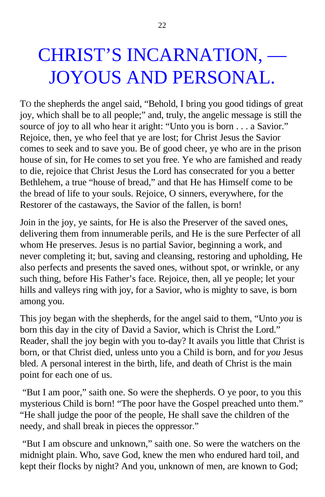#### CHRIST'S INCARNATION, — JOYOUS AND PERSONAL.

TO the shepherds the angel said, "Behold, I bring you good tidings of great joy, which shall be to all people;" and, truly, the angelic message is still the source of joy to all who hear it aright: "Unto you is born . . . a Savior." Rejoice, then, ye who feel that ye are lost; for Christ Jesus the Savior comes to seek and to save you. Be of good cheer, ye who are in the prison house of sin, for He comes to set you free. Ye who are famished and ready to die, rejoice that Christ Jesus the Lord has consecrated for you a better Bethlehem, a true "house of bread," and that He has Himself come to be the bread of life to your souls. Rejoice, O sinners, everywhere, for the Restorer of the castaways, the Savior of the fallen, is born!

Join in the joy, ye saints, for He is also the Preserver of the saved ones, delivering them from innumerable perils, and He is the sure Perfecter of all whom He preserves. Jesus is no partial Savior, beginning a work, and never completing it; but, saving and cleansing, restoring and upholding, He also perfects and presents the saved ones, without spot, or wrinkle, or any such thing, before His Father's face. Rejoice, then, all ye people; let your hills and valleys ring with joy, for a Savior, who is mighty to save, is born among you.

This joy began with the shepherds, for the angel said to them, "Unto *you* is born this day in the city of David a Savior, which is Christ the Lord." Reader, shall the joy begin with you to-day? It avails you little that Christ is born, or that Christ died, unless unto you a Child is born, and for *you* Jesus bled. A personal interest in the birth, life, and death of Christ is the main point for each one of us.

"But I am poor," saith one. So were the shepherds. O ye poor, to you this mysterious Child is born! "The poor have the Gospel preached unto them." "He shall judge the poor of the people, He shall save the children of the needy, and shall break in pieces the oppressor."

 "But I am obscure and unknown," saith one. So were the watchers on the midnight plain. Who, save God, knew the men who endured hard toil, and kept their flocks by night? And you, unknown of men, are known to God;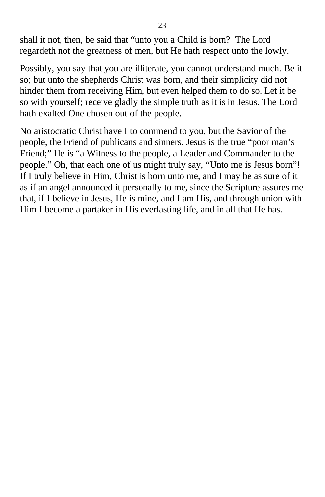shall it not, then, be said that "unto you a Child is born? The Lord regardeth not the greatness of men, but He hath respect unto the lowly.

Possibly, you say that you are illiterate, you cannot understand much. Be it so; but unto the shepherds Christ was born, and their simplicity did not hinder them from receiving Him, but even helped them to do so. Let it be so with yourself; receive gladly the simple truth as it is in Jesus. The Lord hath exalted One chosen out of the people.

No aristocratic Christ have I to commend to you, but the Savior of the people, the Friend of publicans and sinners. Jesus is the true "poor man's Friend;" He is "a Witness to the people, a Leader and Commander to the people." Oh, that each one of us might truly say, "Unto me is Jesus born"! If I truly believe in Him, Christ is born unto me, and I may be as sure of it as if an angel announced it personally to me, since the Scripture assures me that, if I believe in Jesus, He is mine, and I am His, and through union with Him I become a partaker in His everlasting life, and in all that He has.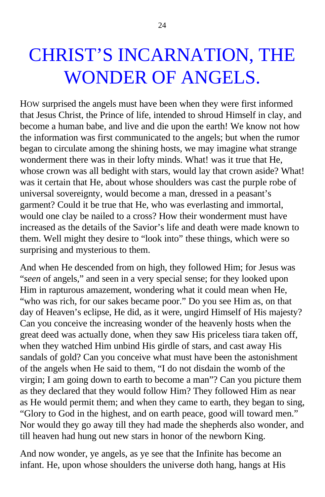#### CHRIST'S INCARNATION, THE WONDER OF ANGELS.

HOW surprised the angels must have been when they were first informed that Jesus Christ, the Prince of life, intended to shroud Himself in clay, and become a human babe, and live and die upon the earth! We know not how the information was first communicated to the angels; but when the rumor began to circulate among the shining hosts, we may imagine what strange wonderment there was in their lofty minds. What! was it true that He, whose crown was all bedight with stars, would lay that crown aside? What! was it certain that He, about whose shoulders was cast the purple robe of universal sovereignty, would become a man, dressed in a peasant's garment? Could it be true that He, who was everlasting and immortal, would one clay be nailed to a cross? How their wonderment must have increased as the details of the Savior's life and death were made known to them. Well might they desire to "look into" these things, which were so surprising and mysterious to them.

And when He descended from on high, they followed Him; for Jesus was "*seen* of angels," and seen in a very special sense; for they looked upon Him in rapturous amazement, wondering what it could mean when He, "who was rich, for our sakes became poor." Do you see Him as, on that day of Heaven's eclipse, He did, as it were, ungird Himself of His majesty? Can you conceive the increasing wonder of the heavenly hosts when the great deed was actually done, when they saw His priceless tiara taken off, when they watched Him unbind His girdle of stars, and cast away His sandals of gold? Can you conceive what must have been the astonishment of the angels when He said to them, "I do not disdain the womb of the virgin; I am going down to earth to become a man"? Can you picture them as they declared that they would follow Him? They followed Him as near as He would permit them; and when they came to earth, they began to sing, "Glory to God in the highest, and on earth peace, good will toward men." Nor would they go away till they had made the shepherds also wonder, and till heaven had hung out new stars in honor of the newborn King.

And now wonder, ye angels, as ye see that the Infinite has become an infant. He, upon whose shoulders the universe doth hang, hangs at His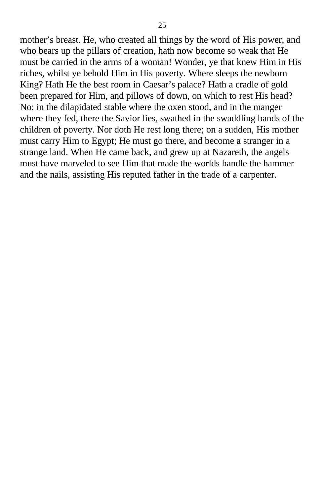mother's breast. He, who created all things by the word of His power, and who bears up the pillars of creation, hath now become so weak that He must be carried in the arms of a woman! Wonder, ye that knew Him in His riches, whilst ye behold Him in His poverty. Where sleeps the newborn King? Hath He the best room in Caesar's palace? Hath a cradle of gold been prepared for Him, and pillows of down, on which to rest His head? No; in the dilapidated stable where the oxen stood, and in the manger where they fed, there the Savior lies, swathed in the swaddling bands of the children of poverty. Nor doth He rest long there; on a sudden, His mother must carry Him to Egypt; He must go there, and become a stranger in a strange land. When He came back, and grew up at Nazareth, the angels must have marveled to see Him that made the worlds handle the hammer and the nails, assisting His reputed father in the trade of a carpenter.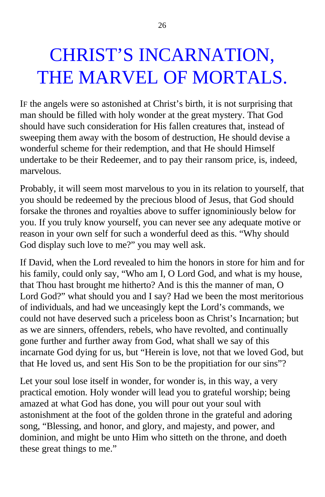## CHRIST'S INCARNATION, THE MARVEL OF MORTALS.

IF the angels were so astonished at Christ's birth, it is not surprising that man should be filled with holy wonder at the great mystery. That God should have such consideration for His fallen creatures that, instead of sweeping them away with the bosom of destruction, He should devise a wonderful scheme for their redemption, and that He should Himself undertake to be their Redeemer, and to pay their ransom price, is, indeed, marvelous.

Probably, it will seem most marvelous to you in its relation to yourself, that you should be redeemed by the precious blood of Jesus, that God should forsake the thrones and royalties above to suffer ignominiously below for you. If you truly know yourself, you can never see any adequate motive or reason in your own self for such a wonderful deed as this. "Why should God display such love to me?" you may well ask.

If David, when the Lord revealed to him the honors in store for him and for his family, could only say, "Who am I, O Lord God, and what is my house, that Thou hast brought me hitherto? And is this the manner of man, O Lord God?" what should you and I say? Had we been the most meritorious of individuals, and had we unceasingly kept the Lord's commands, we could not have deserved such a priceless boon as Christ's Incarnation; but as we are sinners, offenders, rebels, who have revolted, and continually gone further and further away from God, what shall we say of this incarnate God dying for us, but "Herein is love, not that we loved God, but that He loved us, and sent His Son to be the propitiation for our sins"?

Let your soul lose itself in wonder, for wonder is, in this way, a very practical emotion. Holy wonder will lead you to grateful worship; being amazed at what God has done, you will pour out your soul with astonishment at the foot of the golden throne in the grateful and adoring song, "Blessing, and honor, and glory, and majesty, and power, and dominion, and might be unto Him who sitteth on the throne, and doeth these great things to me."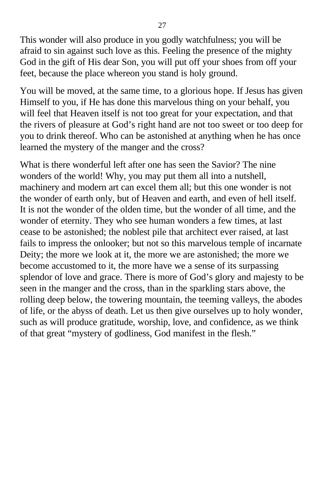This wonder will also produce in you godly watchfulness; you will be afraid to sin against such love as this. Feeling the presence of the mighty God in the gift of His dear Son, you will put off your shoes from off your feet, because the place whereon you stand is holy ground.

You will be moved, at the same time, to a glorious hope. If Jesus has given Himself to you, if He has done this marvelous thing on your behalf, you will feel that Heaven itself is not too great for your expectation, and that the rivers of pleasure at God's right hand are not too sweet or too deep for you to drink thereof. Who can be astonished at anything when he has once learned the mystery of the manger and the cross?

What is there wonderful left after one has seen the Savior? The nine wonders of the world! Why, you may put them all into a nutshell, machinery and modern art can excel them all; but this one wonder is not the wonder of earth only, but of Heaven and earth, and even of hell itself. It is not the wonder of the olden time, but the wonder of all time, and the wonder of eternity. They who see human wonders a few times, at last cease to be astonished; the noblest pile that architect ever raised, at last fails to impress the onlooker; but not so this marvelous temple of incarnate Deity; the more we look at it, the more we are astonished; the more we become accustomed to it, the more have we a sense of its surpassing splendor of love and grace. There is more of God's glory and majesty to be seen in the manger and the cross, than in the sparkling stars above, the rolling deep below, the towering mountain, the teeming valleys, the abodes of life, or the abyss of death. Let us then give ourselves up to holy wonder, such as will produce gratitude, worship, love, and confidence, as we think of that great "mystery of godliness, God manifest in the flesh."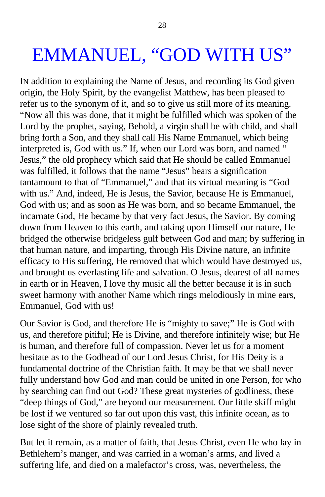#### EMMANUEL, "GOD WITH US"

IN addition to explaining the Name of Jesus, and recording its God given origin, the Holy Spirit, by the evangelist Matthew, has been pleased to refer us to the synonym of it, and so to give us still more of its meaning. "Now all this was done, that it might be fulfilled which was spoken of the Lord by the prophet, saying, Behold, a virgin shall be with child, and shall bring forth a Son, and they shall call His Name Emmanuel, which being interpreted is, God with us." If, when our Lord was born, and named " Jesus," the old prophecy which said that He should be called Emmanuel was fulfilled, it follows that the name "Jesus" bears a signification tantamount to that of "Emmanuel," and that its virtual meaning is "God with us." And, indeed, He is Jesus, the Savior, because He is Emmanuel, God with us; and as soon as He was born, and so became Emmanuel, the incarnate God, He became by that very fact Jesus, the Savior. By coming down from Heaven to this earth, and taking upon Himself our nature, He bridged the otherwise bridgeless gulf between God and man; by suffering in that human nature, and imparting, through His Divine nature, an infinite efficacy to His suffering, He removed that which would have destroyed us, and brought us everlasting life and salvation. O Jesus, dearest of all names in earth or in Heaven, I love thy music all the better because it is in such sweet harmony with another Name which rings melodiously in mine ears, Emmanuel, God with us!

Our Savior is God, and therefore He is "mighty to save;" He is God with us, and therefore pitiful; He is Divine, and therefore infinitely wise; but He is human, and therefore full of compassion. Never let us for a moment hesitate as to the Godhead of our Lord Jesus Christ, for His Deity is a fundamental doctrine of the Christian faith. It may be that we shall never fully understand how God and man could be united in one Person, for who by searching can find out God? These great mysteries of godliness, these "deep things of God," are beyond our measurement. Our little skiff might be lost if we ventured so far out upon this vast, this infinite ocean, as to lose sight of the shore of plainly revealed truth.

But let it remain, as a matter of faith, that Jesus Christ, even He who lay in Bethlehem's manger, and was carried in a woman's arms, and lived a suffering life, and died on a malefactor's cross, was, nevertheless, the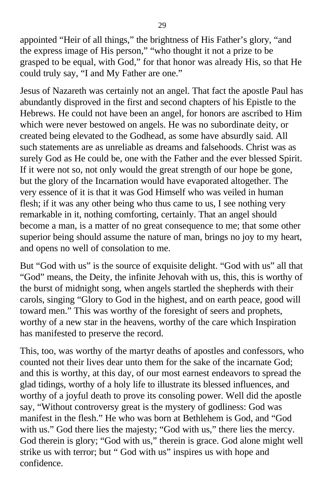appointed "Heir of all things," the brightness of His Father's glory, "and the express image of His person," "who thought it not a prize to be grasped to be equal, with God," for that honor was already His, so that He could truly say, "I and My Father are one."

Jesus of Nazareth was certainly not an angel. That fact the apostle Paul has abundantly disproved in the first and second chapters of his Epistle to the Hebrews. He could not have been an angel, for honors are ascribed to Him which were never bestowed on angels. He was no subordinate deity, or created being elevated to the Godhead, as some have absurdly said. All such statements are as unreliable as dreams and falsehoods. Christ was as surely God as He could be, one with the Father and the ever blessed Spirit. If it were not so, not only would the great strength of our hope be gone, but the glory of the Incarnation would have evaporated altogether. The very essence of it is that it was God Himself who was veiled in human flesh; if it was any other being who thus came to us, I see nothing very remarkable in it, nothing comforting, certainly. That an angel should become a man, is a matter of no great consequence to me; that some other superior being should assume the nature of man, brings no joy to my heart, and opens no well of consolation to me.

But "God with us" is the source of exquisite delight. "God with us" all that "God" means, the Deity, the infinite Jehovah with us, this, this is worthy of the burst of midnight song, when angels startled the shepherds with their carols, singing "Glory to God in the highest, and on earth peace, good will toward men." This was worthy of the foresight of seers and prophets, worthy of a new star in the heavens, worthy of the care which Inspiration has manifested to preserve the record.

This, too, was worthy of the martyr deaths of apostles and confessors, who counted not their lives dear unto them for the sake of the incarnate God; and this is worthy, at this day, of our most earnest endeavors to spread the glad tidings, worthy of a holy life to illustrate its blessed influences, and worthy of a joyful death to prove its consoling power. Well did the apostle say, "Without controversy great is the mystery of godliness: God was manifest in the flesh." He who was born at Bethlehem is God, and "God with us." God there lies the majesty; "God with us," there lies the mercy. God therein is glory; "God with us," therein is grace. God alone might well strike us with terror; but " God with us" inspires us with hope and confidence.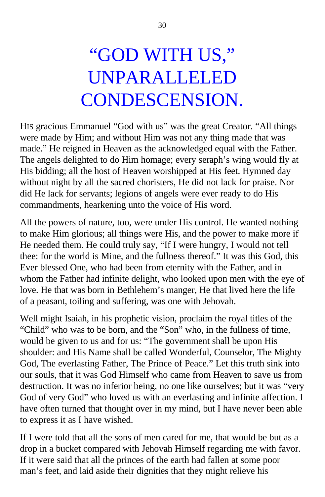#### "GOD WITH US," UNPARALLELED CONDESCENSION.

HIS gracious Emmanuel "God with us" was the great Creator. "All things were made by Him; and without Him was not any thing made that was made." He reigned in Heaven as the acknowledged equal with the Father. The angels delighted to do Him homage; every seraph's wing would fly at His bidding; all the host of Heaven worshipped at His feet. Hymned day without night by all the sacred choristers, He did not lack for praise. Nor did He lack for servants; legions of angels were ever ready to do His commandments, hearkening unto the voice of His word.

All the powers of nature, too, were under His control. He wanted nothing to make Him glorious; all things were His, and the power to make more if He needed them. He could truly say, "If I were hungry, I would not tell thee: for the world is Mine, and the fullness thereof." It was this God, this Ever blessed One, who had been from eternity with the Father, and in whom the Father had infinite delight, who looked upon men with the eye of love. He that was born in Bethlehem's manger, He that lived here the life of a peasant, toiling and suffering, was one with Jehovah.

Well might Isaiah, in his prophetic vision, proclaim the royal titles of the "Child" who was to be born, and the "Son" who, in the fullness of time, would be given to us and for us: "The government shall be upon His shoulder: and His Name shall be called Wonderful, Counselor, The Mighty God, The everlasting Father, The Prince of Peace." Let this truth sink into our souls, that it was God Himself who came from Heaven to save us from destruction. It was no inferior being, no one like ourselves; but it was "very God of very God" who loved us with an everlasting and infinite affection. I have often turned that thought over in my mind, but I have never been able to express it as I have wished.

If I were told that all the sons of men cared for me, that would be but as a drop in a bucket compared with Jehovah Himself regarding me with favor. If it were said that all the princes of the earth had fallen at some poor man's feet, and laid aside their dignities that they might relieve his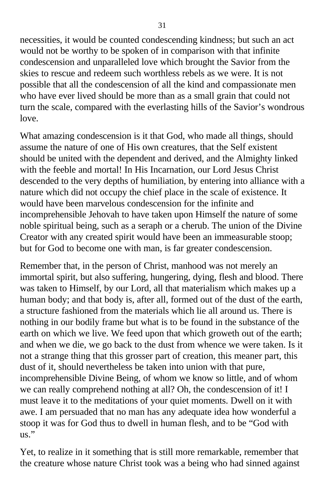necessities, it would be counted condescending kindness; but such an act would not be worthy to be spoken of in comparison with that infinite condescension and unparalleled love which brought the Savior from the skies to rescue and redeem such worthless rebels as we were. It is not possible that all the condescension of all the kind and compassionate men who have ever lived should be more than as a small grain that could not turn the scale, compared with the everlasting hills of the Savior's wondrous love.

What amazing condescension is it that God, who made all things, should assume the nature of one of His own creatures, that the Self existent should be united with the dependent and derived, and the Almighty linked with the feeble and mortal! In His Incarnation, our Lord Jesus Christ descended to the very depths of humiliation, by entering into alliance with a nature which did not occupy the chief place in the scale of existence. It would have been marvelous condescension for the infinite and incomprehensible Jehovah to have taken upon Himself the nature of some noble spiritual being, such as a seraph or a cherub. The union of the Divine Creator with any created spirit would have been an immeasurable stoop; but for God to become one with man, is far greater condescension.

Remember that, in the person of Christ, manhood was not merely an immortal spirit, but also suffering, hungering, dying, flesh and blood. There was taken to Himself, by our Lord, all that materialism which makes up a human body; and that body is, after all, formed out of the dust of the earth, a structure fashioned from the materials which lie all around us. There is nothing in our bodily frame but what is to be found in the substance of the earth on which we live. We feed upon that which groweth out of the earth; and when we die, we go back to the dust from whence we were taken. Is it not a strange thing that this grosser part of creation, this meaner part, this dust of it, should nevertheless be taken into union with that pure, incomprehensible Divine Being, of whom we know so little, and of whom we can really comprehend nothing at all? Oh, the condescension of it! I must leave it to the meditations of your quiet moments. Dwell on it with awe. I am persuaded that no man has any adequate idea how wonderful a stoop it was for God thus to dwell in human flesh, and to be "God with  $\overline{\mathbf{u}}$ .

Yet, to realize in it something that is still more remarkable, remember that the creature whose nature Christ took was a being who had sinned against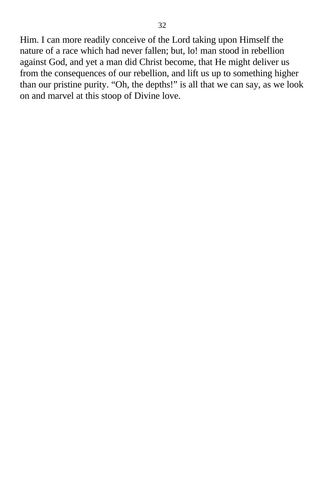Him. I can more readily conceive of the Lord taking upon Himself the nature of a race which had never fallen; but, lo! man stood in rebellion against God, and yet a man did Christ become, that He might deliver us from the consequences of our rebellion, and lift us up to something higher than our pristine purity. "Oh, the depths!" is all that we can say, as we look on and marvel at this stoop of Divine love.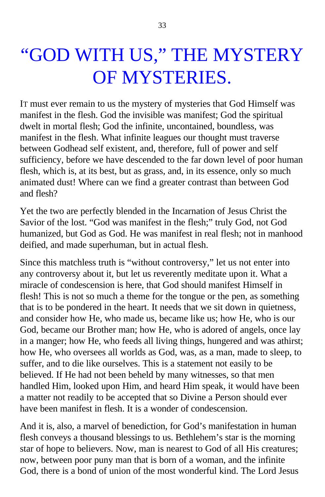### "GOD WITH US," THE MYSTERY OF MYSTERIES.

IT must ever remain to us the mystery of mysteries that God Himself was manifest in the flesh. God the invisible was manifest; God the spiritual dwelt in mortal flesh; God the infinite, uncontained, boundless, was manifest in the flesh. What infinite leagues our thought must traverse between Godhead self existent, and, therefore, full of power and self sufficiency, before we have descended to the far down level of poor human flesh, which is, at its best, but as grass, and, in its essence, only so much animated dust! Where can we find a greater contrast than between God and flesh?

Yet the two are perfectly blended in the Incarnation of Jesus Christ the Savior of the lost. "God was manifest in the flesh;" truly God, not God humanized, but God as God. He was manifest in real flesh; not in manhood deified, and made superhuman, but in actual flesh.

Since this matchless truth is "without controversy," let us not enter into any controversy about it, but let us reverently meditate upon it. What a miracle of condescension is here, that God should manifest Himself in flesh! This is not so much a theme for the tongue or the pen, as something that is to be pondered in the heart. It needs that we sit down in quietness, and consider how He, who made us, became like us; how He, who is our God, became our Brother man; how He, who is adored of angels, once lay in a manger; how He, who feeds all living things, hungered and was athirst; how He, who oversees all worlds as God, was, as a man, made to sleep, to suffer, and to die like ourselves. This is a statement not easily to be believed. If He had not been beheld by many witnesses, so that men handled Him, looked upon Him, and heard Him speak, it would have been a matter not readily to be accepted that so Divine a Person should ever have been manifest in flesh. It is a wonder of condescension.

And it is, also, a marvel of benediction, for God's manifestation in human flesh conveys a thousand blessings to us. Bethlehem's star is the morning star of hope to believers. Now, man is nearest to God of all His creatures; now, between poor puny man that is born of a woman, and the infinite God, there is a bond of union of the most wonderful kind. The Lord Jesus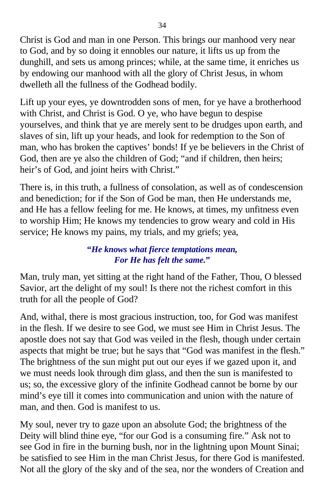Christ is God and man in one Person. This brings our manhood very near to God, and by so doing it ennobles our nature, it lifts us up from the dunghill, and sets us among princes; while, at the same time, it enriches us by endowing our manhood with all the glory of Christ Jesus, in whom dwelleth all the fullness of the Godhead bodily.

Lift up your eyes, ye downtrodden sons of men, for ye have a brotherhood with Christ, and Christ is God. O ye, who have begun to despise yourselves, and think that ye are merely sent to be drudges upon earth, and slaves of sin, lift up your heads, and look for redemption to the Son of man, who has broken the captives' bonds! If ye be believers in the Christ of God, then are ye also the children of God; "and if children, then heirs; heir's of God, and joint heirs with Christ."

There is, in this truth, a fullness of consolation, as well as of condescension and benediction; for if the Son of God be man, then He understands me, and He has a fellow feeling for me. He knows, at times, my unfitness even to worship Him; He knows my tendencies to grow weary and cold in His service; He knows my pains, my trials, and my griefs; yea,

#### **"***He knows what fierce temptations mean, For He has felt the same.***"**

Man, truly man, yet sitting at the right hand of the Father, Thou, O blessed Savior, art the delight of my soul! Is there not the richest comfort in this truth for all the people of God?

And, withal, there is most gracious instruction, too, for God was manifest in the flesh. If we desire to see God, we must see Him in Christ Jesus. The apostle does not say that God was veiled in the flesh, though under certain aspects that might be true; but he says that "God was manifest in the flesh." The brightness of the sun might put out our eyes if we gazed upon it, and we must needs look through dim glass, and then the sun is manifested to us; so, the excessive glory of the infinite Godhead cannot be borne by our mind's eye till it comes into communication and union with the nature of man, and then. God is manifest to us.

My soul, never try to gaze upon an absolute God; the brightness of the Deity will blind thine eye, "for our God is a consuming fire." Ask not to see God in fire in the burning bush, nor in the lightning upon Mount Sinai; be satisfied to see Him in the man Christ Jesus, for there God is manifested. Not all the glory of the sky and of the sea, nor the wonders of Creation and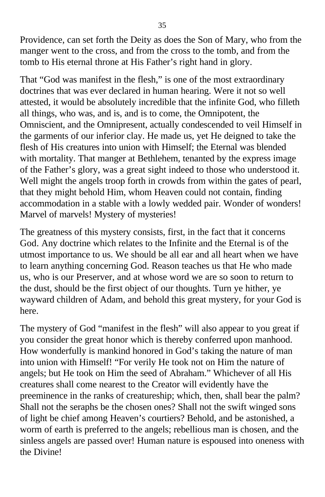Providence, can set forth the Deity as does the Son of Mary, who from the manger went to the cross, and from the cross to the tomb, and from the tomb to His eternal throne at His Father's right hand in glory.

That "God was manifest in the flesh," is one of the most extraordinary doctrines that was ever declared in human hearing. Were it not so well attested, it would be absolutely incredible that the infinite God, who filleth all things, who was, and is, and is to come, the Omnipotent, the Omniscient, and the Omnipresent, actually condescended to veil Himself in the garments of our inferior clay. He made us, yet He deigned to take the flesh of His creatures into union with Himself; the Eternal was blended with mortality. That manger at Bethlehem, tenanted by the express image of the Father's glory, was a great sight indeed to those who understood it. Well might the angels troop forth in crowds from within the gates of pearl, that they might behold Him, whom Heaven could not contain, finding accommodation in a stable with a lowly wedded pair. Wonder of wonders! Marvel of marvels! Mystery of mysteries!

The greatness of this mystery consists, first, in the fact that it concerns God. Any doctrine which relates to the Infinite and the Eternal is of the utmost importance to us. We should be all ear and all heart when we have to learn anything concerning God. Reason teaches us that He who made us, who is our Preserver, and at whose word we are so soon to return to the dust, should be the first object of our thoughts. Turn ye hither, ye wayward children of Adam, and behold this great mystery, for your God is here.

The mystery of God "manifest in the flesh" will also appear to you great if you consider the great honor which is thereby conferred upon manhood. How wonderfully is mankind honored in God's taking the nature of man into union with Himself! "For verily He took not on Him the nature of angels; but He took on Him the seed of Abraham." Whichever of all His creatures shall come nearest to the Creator will evidently have the preeminence in the ranks of creatureship; which, then, shall bear the palm? Shall not the seraphs be the chosen ones? Shall not the swift winged sons of light be chief among Heaven's courtiers? Behold, and be astonished, a worm of earth is preferred to the angels; rebellious man is chosen, and the sinless angels are passed over! Human nature is espoused into oneness with the Divine!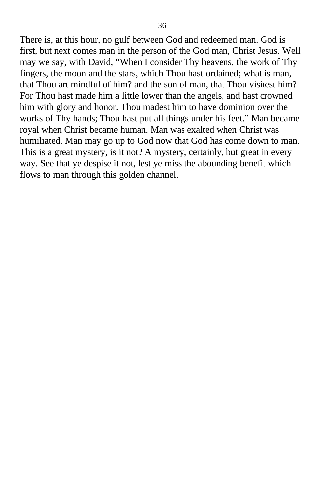There is, at this hour, no gulf between God and redeemed man. God is first, but next comes man in the person of the God man, Christ Jesus. Well may we say, with David, "When I consider Thy heavens, the work of Thy fingers, the moon and the stars, which Thou hast ordained; what is man, that Thou art mindful of him? and the son of man, that Thou visitest him? For Thou hast made him a little lower than the angels, and hast crowned him with glory and honor. Thou madest him to have dominion over the works of Thy hands; Thou hast put all things under his feet." Man became royal when Christ became human. Man was exalted when Christ was humiliated. Man may go up to God now that God has come down to man. This is a great mystery, is it not? A mystery, certainly, but great in every way. See that ye despise it not, lest ye miss the abounding benefit which flows to man through this golden channel.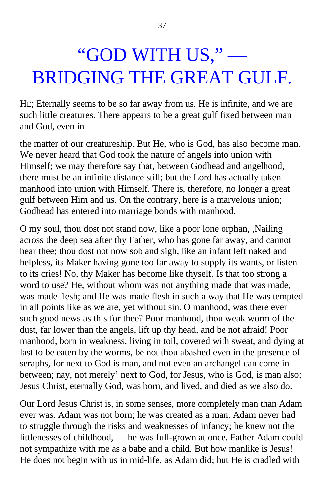### "GOD WITH US," — BRIDGING THE GREAT GULF.

HE; Eternally seems to be so far away from us. He is infinite, and we are such little creatures. There appears to be a great gulf fixed between man and God, even in

the matter of our creatureship. But He, who is God, has also become man. We never heard that God took the nature of angels into union with Himself; we may therefore say that, between Godhead and angelhood, there must be an infinite distance still; but the Lord has actually taken manhood into union with Himself. There is, therefore, no longer a great gulf between Him and us. On the contrary, here is a marvelous union; Godhead has entered into marriage bonds with manhood.

O my soul, thou dost not stand now, like a poor lone orphan, ,Nailing across the deep sea after thy Father, who has gone far away, and cannot hear thee; thou dost not now sob and sigh, like an infant left naked and helpless, its Maker having gone too far away to supply its wants, or listen to its cries! No, thy Maker has become like thyself. Is that too strong a word to use? He, without whom was not anything made that was made, was made flesh; and He was made flesh in such a way that He was tempted in all points like as we are, yet without sin. O manhood, was there ever such good news as this for thee? Poor manhood, thou weak worm of the dust, far lower than the angels, lift up thy head, and be not afraid! Poor manhood, born in weakness, living in toil, covered with sweat, and dying at last to be eaten by the worms, be not thou abashed even in the presence of seraphs, for next to God is man, and not even an archangel can come in between; nay, not merely' next to God, for Jesus, who is God, is man also; Jesus Christ, eternally God, was born, and lived, and died as we also do.

Our Lord Jesus Christ is, in some senses, more completely man than Adam ever was. Adam was not born; he was created as a man. Adam never had to struggle through the risks and weaknesses of infancy; he knew not the littlenesses of childhood, — he was full-grown at once. Father Adam could not sympathize with me as a babe and a child. But how manlike is Jesus! He does not begin with us in mid-life, as Adam did; but He is cradled with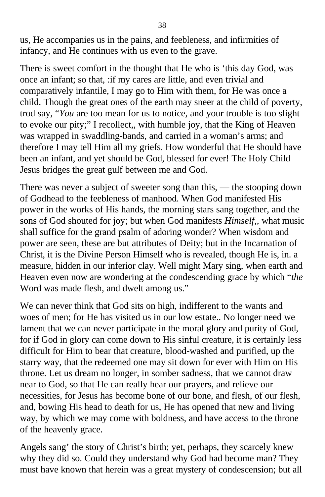us, He accompanies us in the pains, and feebleness, and infirmities of infancy, and He continues with us even to the grave.

There is sweet comfort in the thought that He who is 'this day God, was once an infant; so that, :if my cares are little, and even trivial and comparatively infantile, I may go to Him with them, for He was once a child. Though the great ones of the earth may sneer at the child of poverty, trod say, "*You* are too mean for us to notice, and your trouble is too slight to evoke our pity;" I recollect,, with humble joy, that the King of Heaven was wrapped in swaddling-bands, and carried in a woman's arms; and therefore I may tell Him all my griefs. How wonderful that He should have been an infant, and yet should be God, blessed for ever! The Holy Child Jesus bridges the great gulf between me and God.

There was never a subject of sweeter song than this, — the stooping down of Godhead to the feebleness of manhood. When God manifested His power in the works of His hands, the morning stars sang together, and the sons of God shouted for joy; but when God manifests *Himself,,* what music shall suffice for the grand psalm of adoring wonder? When wisdom and power are seen, these are but attributes of Deity; but in the Incarnation of Christ, it is the Divine Person Himself who is revealed, though He is, in. a measure, hidden in our inferior clay. Well might Mary sing, when earth and Heaven even now are wondering at the condescending grace by which "*the* Word was made flesh, and dwelt among us."

We can never think that God sits on high, indifferent to the wants and woes of men; for He has visited us in our low estate.. No longer need we lament that we can never participate in the moral glory and purity of God, for if God in glory can come down to His sinful creature, it is certainly less difficult for Him to bear that creature, blood-washed and purified, up the starry way, that the redeemed one may sit down for ever with Him on His throne. Let us dream no longer, in somber sadness, that we cannot draw near to God, so that He can really hear our prayers, and relieve our necessities, for Jesus has become bone of our bone, and flesh, of our flesh, and, bowing His head to death for us, He has opened that new and living way, by which we may come with boldness, and have access to the throne of the heavenly grace.

Angels sang' the story of Christ's birth; yet, perhaps, they scarcely knew why they did so. Could they understand why God had become man? They must have known that herein was a great mystery of condescension; but all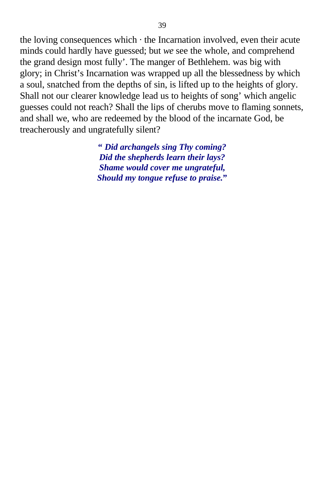the loving consequences which  $\cdot$  the Incarnation involved, even their acute minds could hardly have guessed; but *we* see the whole, and comprehend the grand design most fully'. The manger of Bethlehem. was big with glory; in Christ's Incarnation was wrapped up all the blessedness by which a soul, snatched from the depths of sin, is lifted up to the heights of glory. Shall not our clearer knowledge lead us to heights of song' which angelic guesses could not reach? Shall the lips of cherubs move to flaming sonnets, and shall we, who are redeemed by the blood of the incarnate God, be treacherously and ungratefully silent?

> **"** *Did archangels sing Thy coming? Did the shepherds learn their lays? Shame would cover me ungrateful, Should my tongue refuse to praise.***"**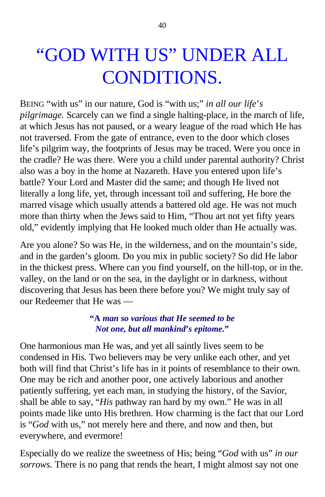### "GOD WITH US" UNDER ALL CONDITIONS.

BEING "with us" in our nature, God is "with us;" *in all our life*'*s pilgrimage.* Scarcely can we find a single halting-place, in the march of life, at which Jesus has not paused, or a weary league of the road which He has not traversed. From the gate of entrance, even to the door which closes life's pilgrim way, the footprints of Jesus may be traced. Were you once in the cradle? He was there. Were you a child under parental authority? Christ also was a boy in the home at Nazareth. Have you entered upon life's battle? Your Lord and Master did the same; and though He lived not literally a long life, yet, through incessant toil and suffering, He bore the marred visage which usually attends a battered old age. He was not much more than thirty when the Jews said to Him, "Thou art not yet fifty years old," evidently implying that He looked much older than He actually was.

Are you alone? So was He, in the wilderness, and on the mountain's side, and in the garden's gloom. Do you mix in public society? So did He labor in the thickest press. Where can you find yourself, on the hill-top, or in the. valley, on the land or on the sea, in the daylight or in darkness, without discovering that Jesus has been there before you? We might truly say of our Redeemer that He was —

#### **"A** *man so various that He seemed to be Not one, but all mankind***'***s epitome.***"**

One harmonious man He was, and yet all saintly lives seem to be condensed in His. Two believers may be very unlike each other, and yet both will find that Christ's life has in it points of resemblance to their own. One may be rich and another poor, one actively laborious and another patiently suffering, yet each man, in studying the history, of the Savior, shall be able to say, "*His* pathway ran hard by my own." He was in all points made like unto His brethren. How charming is the fact that our Lord is "*God* with us," not merely here and there, and now and then, but everywhere, and evermore!

Especially do we realize the sweetness of His; being "*God* with us" *in our sorrows.* There is no pang that rends the heart, I might almost say not one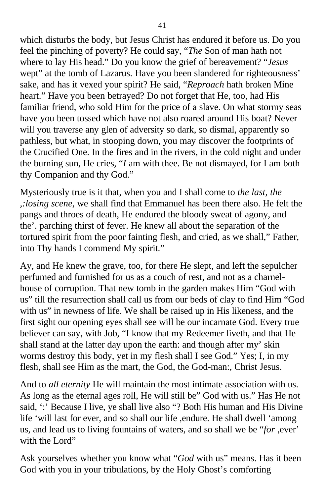which disturbs the body, but Jesus Christ has endured it before us. Do you feel the pinching of poverty? He could say, "*The* Son of man hath not where to lay His head." Do you know the grief of bereavement? "*Jesus* wept" at the tomb of Lazarus. Have you been slandered for righteousness' sake, and has it vexed your spirit? He said, "*Reproach* hath broken Mine heart." Have you been betrayed? Do not forget that He, too, had His familiar friend, who sold Him for the price of a slave. On what stormy seas have you been tossed which have not also roared around His boat? Never will you traverse any glen of adversity so dark, so dismal, apparently so pathless, but what, in stooping down, you may discover the footprints of the Crucified One. In the fires and in the rivers, in the cold night and under the burning sun, He cries, "*I* am with thee. Be not dismayed, for I am both thy Companion and thy God."

Mysteriously true is it that, when you and I shall come to *the last, the ,:losing scene,* we shall find that Emmanuel has been there also. He felt the pangs and throes of death, He endured the bloody sweat of agony, and the'. parching thirst of fever. He knew all about the separation of the tortured spirit from the poor fainting flesh, and cried, as we shall," Father, into Thy hands I commend My spirit."

Ay, and He knew the grave, too, for there He slept, and left the sepulcher perfumed and furnished for us as a couch of rest, and not as a charnelhouse of corruption. That new tomb in the garden makes Him "God with us" till the resurrection shall call us from our beds of clay to find Him "God with us" in newness of life. We shall be raised up in His likeness, and the first sight our opening eyes shall see will be our incarnate God. Every true believer can say, with Job, "I know that my Redeemer liveth, and that He shall stand at the latter day upon the earth: and though after my' skin worms destroy this body, yet in my flesh shall I see God." Yes; I, in my flesh, shall see Him as the mart, the God, the God-man:, Christ Jesus.

And to *all eternity* He will maintain the most intimate association with us. As long as the eternal ages roll, He will still be" God with us." Has He not said, ": Because I live, ye shall live also "? Both His human and His Divine life 'will last for ever, and so shall our life ,endure. He shall dwell 'among us, and lead us to living fountains of waters, and so shall we be "*for* ,ever' with the Lord"

Ask yourselves whether you know what "*God* with us" means. Has it been God with you in your tribulations, by the Holy Ghost's comforting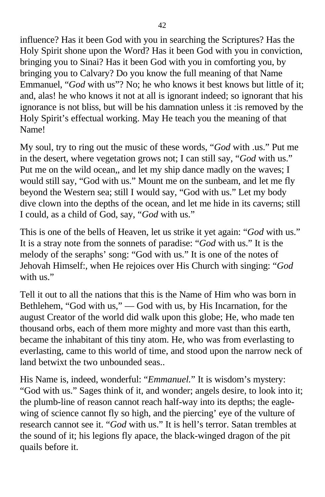influence? Has it been God with you in searching the Scriptures? Has the Holy Spirit shone upon the Word? Has it been God with you in conviction, bringing you to Sinai? Has it been God with you in comforting you, by bringing you to Calvary? Do you know the full meaning of that Name Emmanuel, "*God* with us"? No; he who knows it best knows but little of it; and, alas! he who knows it not at all is ignorant indeed; so ignorant that his ignorance is not bliss, but will be his damnation unless it :is removed by the Holy Spirit's effectual working. May He teach you the meaning of that Name!

My soul, try to ring out the music of these words, "*God* with .us." Put me in the desert, where vegetation grows not; I can still say, "*God* with us." Put me on the wild ocean,, and let my ship dance madly on the waves; I would still say, "God with us." Mount me on the sunbeam, and let me fly beyond the Western sea; still I would say, "God with us." Let my body dive clown into the depths of the ocean, and let me hide in its caverns; still I could, as a child of God, say, "*God* with us."

This is one of the bells of Heaven, let us strike it yet again: "*God* with us." It is a stray note from the sonnets of paradise: "*God* with us." It is the melody of the seraphs' song: "God with us." It is one of the notes of Jehovah Himself:, when He rejoices over His Church with singing: "*God* with us."

Tell it out to all the nations that this is the Name of Him who was born in Bethlehem, "God with us," — God with us, by His Incarnation, for the august Creator of the world did walk upon this globe; He, who made ten thousand orbs, each of them more mighty and more vast than this earth, became the inhabitant of this tiny atom. He, who was from everlasting to everlasting, came to this world of time, and stood upon the narrow neck of land betwixt the two unbounded seas...

His Name is, indeed, wonderful: "*Emmanuel.*" It is wisdom's mystery: "God with us." Sages think of it, and wonder; angels desire, to look into it; the plumb-line of reason cannot reach half-way into its depths; the eaglewing of science cannot fly so high, and the piercing' eye of the vulture of research cannot see it. "*God* with us." It is hell's terror. Satan trembles at the sound of it; his legions fly apace, the black-winged dragon of the pit quails before it.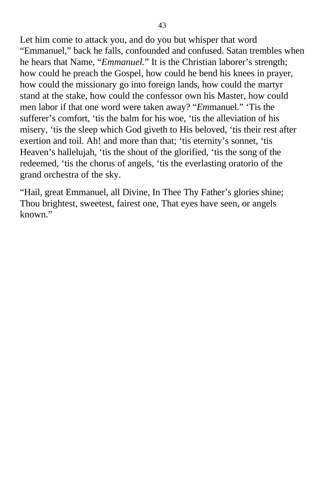Let him come to attack you, and do you but whisper that word "Emmanuel," back he falls, confounded and confused. Satan trembles when he hears that Name, "*Emmanuel.*" It is the Christian laborer's strength; how could he preach the Gospel, how could he bend his knees in prayer, how could the missionary go into foreign lands, how could the martyr stand at the stake, how could the confessor own his Master, how could men labor if that one word were taken away? "*Em*manuel." 'Tis the sufferer's comfort, 'tis the balm for his woe, 'tis the alleviation of his misery, 'tis the sleep which God giveth to His beloved, 'tis their rest after exertion and toil. Ah! and more than that; 'tis eternity's sonnet, 'tis Heaven's hallelujah, 'tis the shout of the glorified, 'tis the song of the redeemed, 'tis the chorus of angels, 'tis the everlasting oratorio of the grand orchestra of the sky.

"Hail, great Emmanuel, all Divine, In Thee Thy Father's glories shine; Thou brightest, sweetest, fairest one, That eyes have seen, or angels known."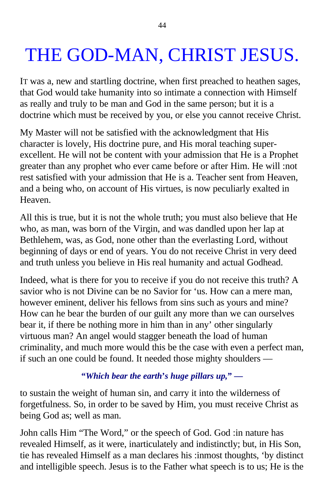# THE GOD-MAN, CHRIST JESUS.

IT was a, new and startling doctrine, when first preached to heathen sages, that God would take humanity into so intimate a connection with Himself as really and truly to be man and God in the same person; but it is a doctrine which must be received by you, or else you cannot receive Christ.

My Master will not be satisfied with the acknowledgment that His character is lovely, His doctrine pure, and His moral teaching superexcellent. He will not be content with your admission that He is a Prophet greater than any prophet who ever came before or after Him. He will :not rest satisfied with your admission that He is a. Teacher sent from Heaven, and a being who, on account of His virtues, is now peculiarly exalted in Heaven.

All this is true, but it is not the whole truth; you must also believe that He who, as man, was born of the Virgin, and was dandled upon her lap at Bethlehem, was, as God, none other than the everlasting Lord, without beginning of days or end of years. You do not receive Christ in very deed and truth unless you believe in His real humanity and actual Godhead.

Indeed, what is there for you to receive if you do not receive this truth? A savior who is not Divine can be no Savior for 'us. How can a mere man, however eminent, deliver his fellows from sins such as yours and mine? How can he bear the burden of our guilt any more than we can ourselves bear it, if there be nothing more in him than in any' other singularly virtuous man? An angel would stagger beneath the load of human criminality, and much more would this be the case with even a perfect man, if such an one could be found. It needed those mighty shoulders —

#### **"***Which bear the earth***'***s huge pillars up,***"** *—*

to sustain the weight of human sin, and carry it into the wilderness of forgetfulness. So, in order to be saved by Him, you must receive Christ as being God as; well as man.

John calls Him "The Word," or the speech of God. God :in nature has revealed Himself, as it were, inarticulately and indistinctly; but, in His Son, tie has revealed Himself as a man declares his :inmost thoughts, 'by distinct and intelligible speech. Jesus is to the Father what speech is to us; He is the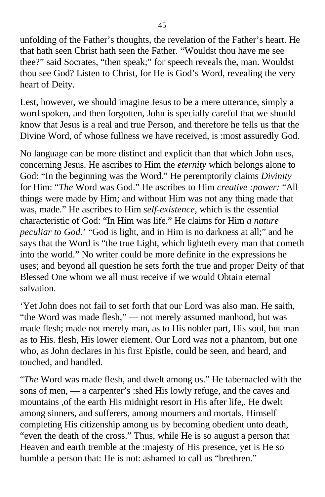unfolding of the Father's thoughts, the revelation of the Father's heart. He that hath seen Christ hath seen the Father. "Wouldst thou have me see thee?" said Socrates, "then speak;" for speech reveals the, man. Wouldst thou see God? Listen to Christ, for He is God's Word, revealing the very heart of Deity.

Lest, however, we should imagine Jesus to be a mere utterance, simply a word spoken, and then forgotten, John is specially careful that we should know that Jesus is a real and true Person, and therefore he tells us that the Divine Word, of whose fullness we have received, is :most assuredly God.

No language can be more distinct and explicit than that which John uses, concerning Jesus. He ascribes to Him the *eternity* which belongs alone to God: "In the beginning was the Word." He peremptorily claims *Divinity* for Him: "*The* Word was God." He ascribes to Him *creative :power:* "All things were made by Him; and without Him was not any thing made that was, made." He ascribes to Him *self-existence,* which is the essential characteristic of God: "In Him was life." He claims for Him *a nature peculiar to God.*' "God is light, and in Him is no darkness at all;" and he says that the Word is "the true Light, which lighteth every man that cometh into the world." No writer could be more definite in the expressions he uses; and beyond all question he sets forth the true and proper Deity of that Blessed One whom we all must receive if we would Obtain eternal salvation.

'Yet John does not fail to set forth that our Lord was also man. He saith, "the Word was made flesh," — not merely assumed manhood, but was made flesh; made not merely man, as to His nobler part, His soul, but man as to His. flesh, His lower element. Our Lord was not a phantom, but one who, as John declares in his first Epistle, could be seen, and heard, and touched, and handled.

"*The* Word was made flesh, and dwelt among us." He tabernacled with the sons of men, — a carpenter's :shed His lowly refuge, and the caves and mountains ,of the earth His midnight resort in His after life,. He dwelt among sinners, and sufferers, among mourners and mortals, Himself completing His citizenship among us by becoming obedient unto death, "even the death of the cross." Thus, while He is so august a person that Heaven and earth tremble at the :majesty of His presence, yet is He so humble a person that: He is not: ashamed to call us "brethren."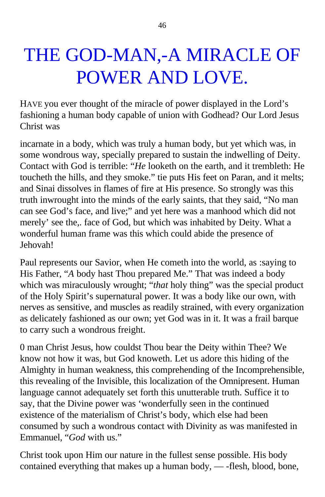# THE GOD-MAN,-A MIRACLE OF POWER AND LOVE.

HAVE you ever thought of the miracle of power displayed in the Lord's fashioning a human body capable of union with Godhead? Our Lord Jesus Christ was

incarnate in a body, which was truly a human body, but yet which was, in some wondrous way, specially prepared to sustain the indwelling of Deity. Contact with God is terrible: "*He* looketh on the earth, and it trembleth: He toucheth the hills, and they smoke." tie puts His feet on Paran, and it melts; and Sinai dissolves in flames of fire at His presence. So strongly was this truth inwrought into the minds of the early saints, that they said, "No man can see God's face, and live;" and yet here was a manhood which did not merely' see the,. face of God, but which was inhabited by Deity. What a wonderful human frame was this which could abide the presence of Jehovah!

Paul represents our Savior, when He cometh into the world, as :saying to His Father, "*A* body hast Thou prepared Me." That was indeed a body which was miraculously wrought; "*that* holy thing" was the special product of the Holy Spirit's supernatural power. It was a body like our own, with nerves as sensitive, and muscles as readily strained, with every organization as delicately fashioned as our own; yet God was in it. It was a frail barque to carry such a wondrous freight.

0 man Christ Jesus, how couldst Thou bear the Deity within Thee? We know not how it was, but God knoweth. Let us adore this hiding of the Almighty in human weakness, this comprehending of the Incomprehensible, this revealing of the Invisible, this localization of the Omnipresent. Human language cannot adequately set forth this unutterable truth. Suffice it to say, that the Divine power was 'wonderfully seen in the continued existence of the materialism of Christ's body, which else had been consumed by such a wondrous contact with Divinity as was manifested in Emmanuel, "*God* with us."

Christ took upon Him our nature in the fullest sense possible. His body contained everything that makes up a human body, — -flesh, blood, bone,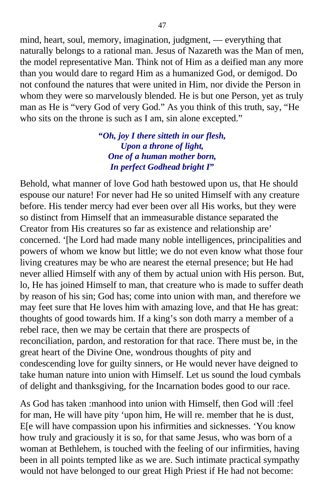mind, heart, soul, memory, imagination, judgment, — everything that naturally belongs to a rational man. Jesus of Nazareth was the Man of men, the model representative Man. Think not of Him as a deified man any more than you would dare to regard Him as a humanized God, or demigod. Do not confound the natures that were united in Him, nor divide the Person in whom they were so marvelously blended. He is but one Person, yet as truly man as He is "very God of very God." As you think of this truth, say, "He who sits on the throne is such as I am, sin alone excepted."

#### **"***Oh, joy I there sitteth in our flesh, Upon a throne of light, One of a human mother born, In perfect Godhead bright I***"**

Behold, what manner of love God hath bestowed upon us, that He should espouse our nature! For never had He so united Himself with any creature before. His tender mercy had ever been over all His works, but they were so distinct from Himself that an immeasurable distance separated the Creator from His creatures so far as existence and relationship are' concerned. '[he Lord had made many noble intelligences, principalities and powers of whom we know but little; we do not even know what those four living creatures may be who are nearest the eternal presence; but He had never allied Himself with any of them by actual union with His person. But, lo, He has joined Himself to man, that creature who is made to suffer death by reason of his sin; God has; come into union with man, and therefore we may feet sure that He loves him with amazing love, and that He has great: thoughts of good towards him. If a king's son doth marry a member of a rebel race, then we may be certain that there are prospects of reconciliation, pardon, and restoration for that race. There must be, in the great heart of the Divine One, wondrous thoughts of pity and condescending love for guilty sinners, or He would never have deigned to take human nature into union with Himself. Let us sound the loud cymbals of delight and thanksgiving, for the Incarnation bodes good to our race.

As God has taken :manhood into union with Himself, then God will :feel for man, He will have pity 'upon him, He will re. member that he is dust, E[e will have compassion upon his infirmities and sicknesses. 'You know how truly and graciously it is so, for that same Jesus, who was born of a woman at Bethlehem, is touched with the feeling of our infirmities, having been in all points tempted like as we are. Such intimate practical sympathy would not have belonged to our great High Priest if He had not become: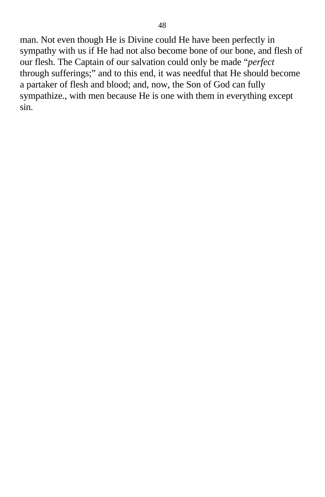man. Not even though He is Divine could He have been perfectly in sympathy with us if He had not also become bone of our bone, and flesh of our flesh. The Captain of our salvation could only be made "*perfect* through sufferings;" and to this end, it was needful that He should become a partaker of flesh and blood; and, now, the Son of God can fully sympathize., with men because He is one with them in everything except sin.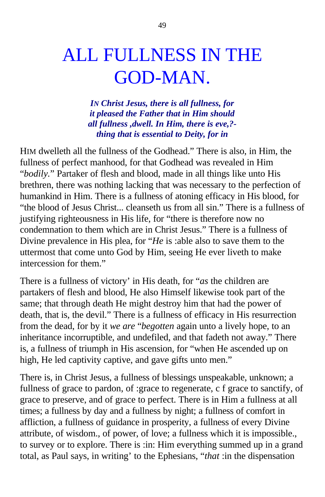#### ALL FULLNESS IN THE GOD-MAN.

*IN Christ Jesus, there is all fullness, for it pleased the Father that in Him should all fullness ,dwell. In Him, there is eve,? thing that is essential to Deity, for in*

HIM dwelleth all the fullness of the Godhead." There is also, in Him, the fullness of perfect manhood, for that Godhead was revealed in Him "*bodily.*" Partaker of flesh and blood, made in all things like unto His brethren, there was nothing lacking that was necessary to the perfection of humankind in Him. There is a fullness of atoning efficacy in His blood, for "the blood of Jesus Christ... cleanseth us from all sin." There is a fullness of justifying righteousness in His life, for "there is therefore now no condemnation to them which are in Christ Jesus." There is a fullness of Divine prevalence in His plea, for "*He* is :able also to save them to the uttermost that come unto God by Him, seeing He ever liveth to make intercession for them."

There is a fullness of victory' in His death, for "*as* the children are partakers of flesh and blood, He also Himself likewise took part of the same; that through death He might destroy him that had the power of death, that is, the devil." There is a fullness of efficacy in His resurrection from the dead, for by it *we are* "*begotten* again unto a lively hope, to an inheritance incorruptible, and undefiled, and that fadeth not away." There is, a fullness of triumph in His ascension, for "when He ascended up on high, He led captivity captive, and gave gifts unto men."

There is, in Christ Jesus, a fullness of blessings unspeakable, unknown; a fullness of grace to pardon, of :grace to regenerate, c f grace to sanctify, of grace to preserve, and of grace to perfect. There is in Him a fullness at all times; a fullness by day and a fullness by night; a fullness of comfort in affliction, a fullness of guidance in prosperity, a fullness of every Divine attribute, of wisdom., of power, of love; a fullness which it is impossible., to survey or to explore. There is :in: Him everything summed up in a grand total, as Paul says, in writing' to the Ephesians, "*that* :in the dispensation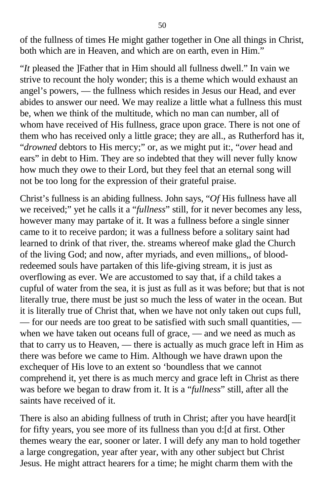of the fullness of times He might gather together in One all things in Christ, both which are in Heaven, and which are on earth, even in Him."

"*It* pleased the ]Father that in Him should all fullness dwell." In vain we strive to recount the holy wonder; this is a theme which would exhaust an angel's powers, — the fullness which resides in Jesus our Head, and ever abides to answer our need. We may realize a little what a fullness this must be, when we think of the multitude, which no man can number, all of whom have received of His fullness, grace upon grace. There is not one of them who has received only a little grace; they are all., as Rutherford has it, "*drowned* debtors to His mercy;" or, as we might put it:, "*over* head and ears" in debt to Him. They are so indebted that they will never fully know how much they owe to their Lord, but they feel that an eternal song will not be too long for the expression of their grateful praise.

Christ's fullness is an abiding fullness. John says, "*Of* His fullness have all we received;" yet he calls it a "*fullness*" still, for it never becomes any less, however many may partake of it. It was a fullness before a single sinner came to it to receive pardon; it was a fullness before a solitary saint had learned to drink of that river, the. streams whereof make glad the Church of the living God; and now, after myriads, and even millions,, of bloodredeemed souls have partaken of this life-giving stream, it is just as overflowing as ever. We are accustomed to say that, if a child takes a cupful of water from the sea, it is just as full as it was before; but that is not literally true, there must be just so much the less of water in the ocean. But it is literally true of Christ that, when we have not only taken out cups full, — for our needs are too great to be satisfied with such small quantities, when we have taken out oceans full of grace, — and we need as much as that to carry us to Heaven, — there is actually as much grace left in Him as there was before we came to Him. Although we have drawn upon the exchequer of His love to an extent so 'boundless that we cannot comprehend it, yet there is as much mercy and grace left in Christ as there was before we began to draw from it. It is a "*fullness*" still, after all the saints have received of it.

There is also an abiding fullness of truth in Christ; after you have heard[it for fifty years, you see more of its fullness than you d:[d at first. Other themes weary the ear, sooner or later. I will defy any man to hold together a large congregation, year after year, with any other subject but Christ Jesus. He might attract hearers for a time; he might charm them with the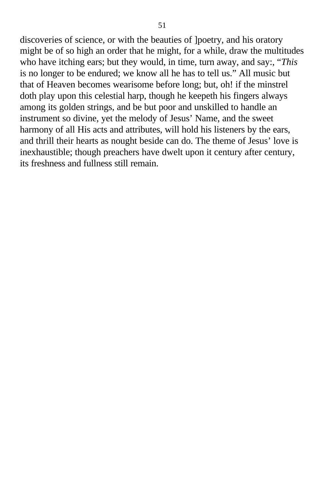discoveries of science, or with the beauties of ]poetry, and his oratory might be of so high an order that he might, for a while, draw the multitudes who have itching ears; but they would, in time, turn away, and say:, "*This* is no longer to be endured; we know all he has to tell us." All music but that of Heaven becomes wearisome before long; but, oh! if the minstrel doth play upon this celestial harp, though he keepeth his fingers always among its golden strings, and be but poor and unskilled to handle an instrument so divine, yet the melody of Jesus' Name, and the sweet harmony of all His acts and attributes, will hold his listeners by the ears, and thrill their hearts as nought beside can do. The theme of Jesus' love is inexhaustible; though preachers have dwelt upon it century after century, its freshness and fullness still remain.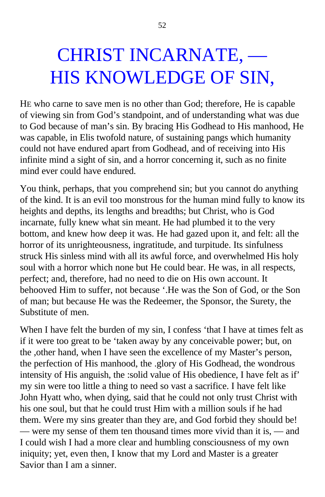### CHRIST INCARNATE, — HIS KNOWLEDGE OF SIN,

HE who carne to save men is no other than God; therefore, He is capable of viewing sin from God's standpoint, and of understanding what was due to God because of man's sin. By bracing His Godhead to His manhood, He was capable, in Elis twofold nature, of sustaining pangs which humanity could not have endured apart from Godhead, and of receiving into His infinite mind a sight of sin, and a horror concerning it, such as no finite mind ever could have endured.

You think, perhaps, that you comprehend sin; but you cannot do anything of the kind. It is an evil too monstrous for the human mind fully to know its heights and depths, its lengths and breadths; but Christ, who is God incarnate, fully knew what sin meant. He had plumbed it to the very bottom, and knew how deep it was. He had gazed upon it, and felt: all the horror of its unrighteousness, ingratitude, and turpitude. Its sinfulness struck His sinless mind with all its awful force, and overwhelmed His holy soul with a horror which none but He could bear. He was, in all respects, perfect; and, therefore, had no need to die on His own account. It behooved Him to suffer, not because '.He was the Son of God, or the Son of man; but because He was the Redeemer, the Sponsor, the Surety, the Substitute of men.

When I have felt the burden of my sin, I confess 'that I have at times felt as if it were too great to be 'taken away by any conceivable power; but, on the ,other hand, when I have seen the excellence of my Master's person, the perfection of His manhood, the .glory of His Godhead, the wondrous intensity of His anguish, the :solid value of His obedience, I have felt as if' my sin were too little a thing to need so vast a sacrifice. I have felt like John Hyatt who, when dying, said that he could not only trust Christ with his one soul, but that he could trust Him with a million souls if he had them. Were my sins greater than they are, and God forbid they should be! — were my sense of them ten thousand times more vivid than it is, — and I could wish I had a more clear and humbling consciousness of my own iniquity; yet, even then, I know that my Lord and Master is a greater Savior than I am a sinner.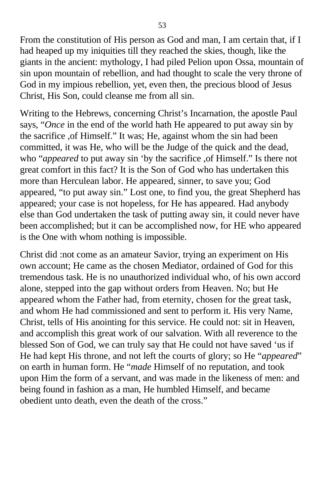From the constitution of His person as God and man, I am certain that, if I had heaped up my iniquities till they reached the skies, though, like the giants in the ancient: mythology, I had piled Pelion upon Ossa, mountain of sin upon mountain of rebellion, and had thought to scale the very throne of God in my impious rebellion, yet, even then, the precious blood of Jesus Christ, His Son, could cleanse me from all sin.

Writing to the Hebrews, concerning Christ's Incarnation, the apostle Paul says, "*Once* in the end of the world hath He appeared to put away sin by the sacrifice ,of Himself." It was; He, against whom the sin had been committed, it was He, who will be the Judge of the quick and the dead, who "*appeared* to put away sin 'by the sacrifice ,of Himself." Is there not great comfort in this fact? It is the Son of God who has undertaken this more than Herculean labor. He appeared, sinner, to save you; God appeared, "to put away sin." Lost one, to find you, the great Shepherd has appeared; your case is not hopeless, for He has appeared. Had anybody else than God undertaken the task of putting away sin, it could never have been accomplished; but it can be accomplished now, for HE who appeared is the One with whom nothing is impossible.

Christ did :not come as an amateur Savior, trying an experiment on His own account; He came as the chosen Mediator, ordained of God for this tremendous task. He is no unauthorized individual who, of his own accord alone, stepped into the gap without orders from Heaven. No; but He appeared whom the Father had, from eternity, chosen for the great task, and whom He had commissioned and sent to perform it. His very Name, Christ, tells of His anointing for this service. He could not: sit in Heaven, and accomplish this great work of our salvation. With all reverence to the blessed Son of God, we can truly say that He could not have saved 'us if He had kept His throne, and not left the courts of glory; so He "*appeared*" on earth in human form. He "*made* Himself of no reputation, and took upon Him the form of a servant, and was made in the likeness of men: and being found in fashion as a man, He humbled Himself, and became obedient unto death, even the death of the cross."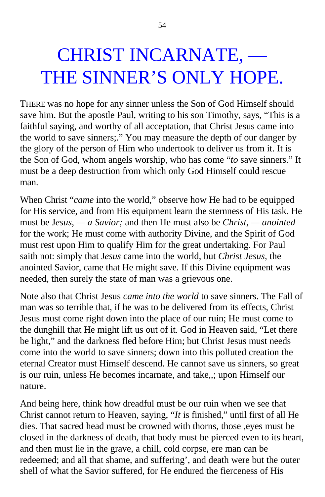# CHRIST INCARNATE, — THE SINNER'S ONLY HOPE.

THERE was no hope for any sinner unless the Son of God Himself should save him. But the apostle Paul, writing to his son Timothy, says, "This is a faithful saying, and worthy of all acceptation, that Christ Jesus came into the world to save sinners;." You may measure the depth of our danger by the glory of the person of Him who undertook to deliver us from it. It is the Son of God, whom angels worship, who has come "*to* save sinners." It must be a deep destruction from which only God Himself could rescue man.

When Christ "*came* into the world," observe how He had to be equipped for His service, and from His equipment learn the sternness of His task. He must be J*esus, — a Savior;* and then He must also be *Christ, — anointed* for the work; He must come with authority Divine, and the Spirit of God must rest upon Him to qualify Him for the great undertaking. For Paul saith not: simply that J*esus* came into the world, but *Christ Jesus,* the anointed Savior, came that He might save. If this Divine equipment was needed, then surely the state of man was a grievous one.

Note also that Christ Jesus *came into the world* to save sinners. The Fall of man was so terrible that, if he was to be delivered from its effects, Christ Jesus must come right down into the place of our ruin; He must come to the dunghill that He might lift us out of it. God in Heaven said, "Let there be light," and the darkness fled before Him; but Christ Jesus must needs come into the world to save sinners; down into this polluted creation the eternal Creator must Himself descend. He cannot save us sinners, so great is our ruin, unless He becomes incarnate, and take,,; upon Himself our nature.

And being here, think how dreadful must be our ruin when we see that Christ cannot return to Heaven, saying, "*It* is finished," until first of all He dies. That sacred head must be crowned with thorns, those ,eyes must be closed in the darkness of death, that body must be pierced even to its heart, and then must lie in the grave, a chill, cold corpse, ere man can be redeemed; and all that shame, and suffering', and death were but the outer shell of what the Savior suffered, for He endured the fierceness of His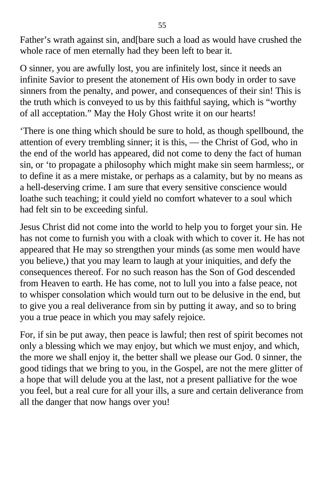Father's wrath against sin, and[bare such a load as would have crushed the whole race of men eternally had they been left to bear it.

O sinner, you are awfully lost, you are infinitely lost, since it needs an infinite Savior to present the atonement of His own body in order to save sinners from the penalty, and power, and consequences of their sin! This is the truth which is conveyed to us by this faithful saying, which is "worthy of all acceptation." May the Holy Ghost write it on our hearts!

'There is one thing which should be sure to hold, as though spellbound, the attention of every trembling sinner; it is this, — the Christ of God, who in the end of the world has appeared, did not come to deny the fact of human sin, or 'to propagate a philosophy which might make sin seem harmless;, or to define it as a mere mistake, or perhaps as a calamity, but by no means as a hell-deserving crime. I am sure that every sensitive conscience would loathe such teaching; it could yield no comfort whatever to a soul which had felt sin to be exceeding sinful.

Jesus Christ did not come into the world to help you to forget your sin. He has not come to furnish you with a cloak with which to cover it. He has not appeared that He may so strengthen your minds (as some men would have you believe,) that you may learn to laugh at your iniquities, and defy the consequences thereof. For no such reason has the Son of God descended from Heaven to earth. He has come, not to lull you into a false peace, not to whisper consolation which would turn out to be delusive in the end, but to give you a real deliverance from sin by putting it away, and so to bring you a true peace in which you may safely rejoice.

For, if sin be put away, then peace is lawful; then rest of spirit becomes not only a blessing which we may enjoy, but which we must enjoy, and which, the more we shall enjoy it, the better shall we please our God. 0 sinner, the good tidings that we bring to you, in the Gospel, are not the mere glitter of a hope that will delude you at the last, not a present palliative for the woe you feel, but a real cure for all your ills, a sure and certain deliverance from all the danger that now hangs over you!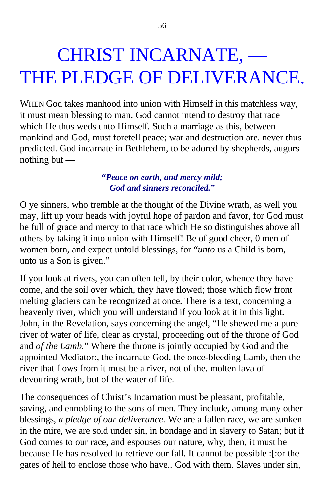# CHRIST INCARNATE, — THE PLEDGE OF DELIVERANCE.

WHEN God takes manhood into union with Himself in this matchless way, it must mean blessing to man. God cannot intend to destroy that race which He thus weds unto Himself. Such a marriage as this, between mankind and God, must foretell peace; war and destruction are. never thus predicted. God incarnate in Bethlehem, to be adored by shepherds, augurs nothing but —

#### **"***Peace on earth, and mercy mild; God and sinners reconciled.***"**

O ye sinners, who tremble at the thought of the Divine wrath, as well you may, lift up your heads with joyful hope of pardon and favor, for God must be full of grace and mercy to that race which He so distinguishes above all others by taking it into union with Himself! Be of good cheer, 0 men of women born, and expect untold blessings, for "*unto* us a Child is born, unto us a Son is given."

If you look at rivers, you can often tell, by their color, whence they have come, and the soil over which, they have flowed; those which flow front melting glaciers can be recognized at once. There is a text, concerning a heavenly river, which you will understand if you look at it in this light. John, in the Revelation, says concerning the angel, "He shewed me a pure river of water of life, clear as crystal, proceeding out of the throne of God and *of the Lamb.*" Where the throne is jointly occupied by God and the appointed Mediator:, the incarnate God, the once-bleeding Lamb, then the river that flows from it must be a river, not of the. molten lava of devouring wrath, but of the water of life.

The consequences of Christ's Incarnation must be pleasant, profitable, saving, and ennobling to the sons of men. They include, among many other blessings, *a pledge of our deliverance.* We are a fallen race, we are sunken in the mire, we are sold under sin, in bondage and in slavery to Satan; but if God comes to our race, and espouses our nature, why, then, it must be because He has resolved to retrieve our fall. It cannot be possible :[:or the gates of hell to enclose those who have.. God with them. Slaves under sin,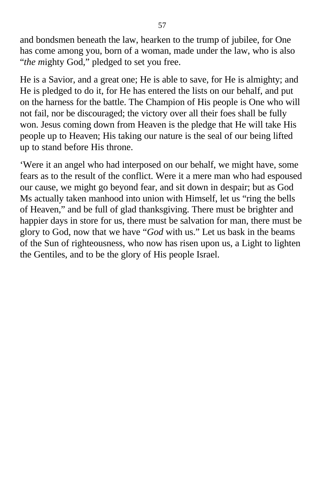and bondsmen beneath the law, hearken to the trump of jubilee, for One has come among you, born of a woman, made under the law, who is also "*the mighty God,*" pledged to set you free.

He is a Savior, and a great one; He is able to save, for He is almighty; and He is pledged to do it, for He has entered the lists on our behalf, and put on the harness for the battle. The Champion of His people is One who will not fail, nor be discouraged; the victory over all their foes shall be fully won. Jesus coming down from Heaven is the pledge that He will take His people up to Heaven; His taking our nature is the seal of our being lifted up to stand before His throne.

'Were it an angel who had interposed on our behalf, we might have, some fears as to the result of the conflict. Were it a mere man who had espoused our cause, we might go beyond fear, and sit down in despair; but as God Ms actually taken manhood into union with Himself, let us "ring the bells of Heaven," and be full of glad thanksgiving. There must be brighter and happier days in store for us, there must be salvation for man, there must be glory to God, now that we have "*God* with us." Let us bask in the beams of the Sun of righteousness, who now has risen upon us, a Light to lighten the Gentiles, and to be the glory of His people Israel.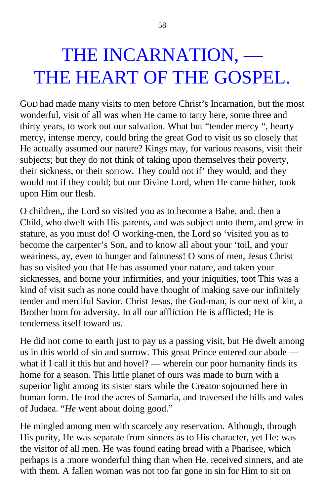# THE INCARNATION, — THE HEART OF THE GOSPEL.

GOD had made many visits to men before Christ's Incarnation, but the most wonderful, visit of all was when He came to tarry here, some three and thirty years, to work out our salvation. What but "tender mercy ", hearty mercy, intense mercy, could bring the great God to visit us so closely that He actually assumed our nature? Kings may, for various reasons, visit their subjects; but they do not think of taking upon themselves their poverty, their sickness, or their sorrow. They could not if' they would, and they would not if they could; but our Divine Lord, when He came hither, took upon Him our flesh.

O children,, the Lord so visited you as to become a Babe, and. then a Child, who dwelt with His parents, and was subject unto them, and grew in stature, as you must do! O working-men, the Lord so 'visited you as to become the carpenter's Son, and to know all about your 'toil, and your weariness, ay, even to hunger and faintness! O sons of men, Jesus Christ has so visited you that He has assumed your nature, and taken your sicknesses, and borne your infirmities, and your iniquities, toot This was a kind of visit such as none could have thought of making save our infinitely tender and merciful Savior. Christ Jesus, the God-man, is our next of kin, a Brother born for adversity. In all our affliction He is afflicted; He is tenderness itself toward us.

He did not come to earth just to pay us a passing visit, but He dwelt among us in this world of sin and sorrow. This great Prince entered our abode what if I call it this hut and hovel? — wherein our poor humanity finds its home for a season. This little planet of ours was made to burn with a superior light among its sister stars while the Creator sojourned here in human form. He trod the acres of Samaria, and traversed the hills and vales of Judaea. "*He* went about doing good."

He mingled among men with scarcely any reservation. Although, through His purity, He was separate from sinners as to His character, yet He: was the visitor of all men. He was found eating bread with a Pharisee, which perhaps is a :more wonderful thing than when He. received sinners, and ate with them. A fallen woman was not too far gone in sin for Him to sit on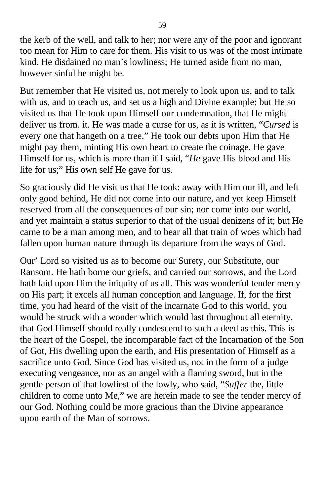the kerb of the well, and talk to her; nor were any of the poor and ignorant too mean for Him to care for them. His visit to us was of the most intimate kind. He disdained no man's lowliness; He turned aside from no man, however sinful he might be.

But remember that He visited us, not merely to look upon us, and to talk with us, and to teach us, and set us a high and Divine example; but He so visited us that He took upon Himself our condemnation, that He might deliver us from. it. He was made a curse for us, as it is written, "*Cursed* is every one that hangeth on a tree." He took our debts upon Him that He might pay them, minting His own heart to create the coinage. He gave Himself for us, which is more than if I said, "*He* gave His blood and His life for us;" His own self He gave for us.

So graciously did He visit us that He took: away with Him our ill, and left only good behind, He did not come into our nature, and yet keep Himself reserved from all the consequences of our sin; nor come into our world, and yet maintain a status superior to that of the usual denizens of it; but He carne to be a man among men, and to bear all that train of woes which had fallen upon human nature through its departure from the ways of God.

Our' Lord so visited us as to become our Surety, our Substitute, our Ransom. He hath borne our griefs, and carried our sorrows, and the Lord hath laid upon Him the iniquity of us all. This was wonderful tender mercy on His part; it excels all human conception and language. If, for the first time, you had heard of the visit of the incarnate God to this world, you would be struck with a wonder which would last throughout all eternity, that God Himself should really condescend to such a deed as this. This is the heart of the Gospel, the incomparable fact of the Incarnation of the Son of Got, His dwelling upon the earth, and His presentation of Himself as a sacrifice unto God. Since God has visited us, not in the form of a judge executing vengeance, nor as an angel with a flaming sword, but in the gentle person of that lowliest of the lowly, who said, "*Suffer* the, little children to come unto Me," we are herein made to see the tender mercy of our God. Nothing could be more gracious than the Divine appearance upon earth of the Man of sorrows.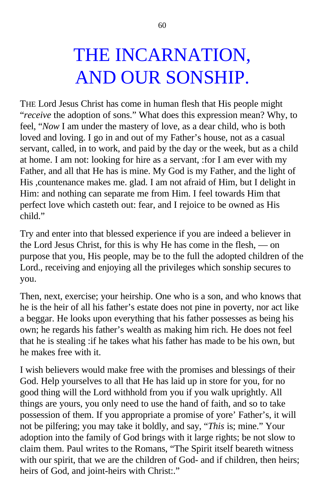# THE INCARNATION, AND OUR SONSHIP.

THE Lord Jesus Christ has come in human flesh that His people might "*receive* the adoption of sons." What does this expression mean? Why, to feel, "*Now* I am under the mastery of love, as a dear child, who is both loved and loving. I go in and out of my Father's house, not as a casual servant, called, in to work, and paid by the day or the week, but as a child at home. I am not: looking for hire as a servant, :for I am ever with my Father, and all that He has is mine. My God is my Father, and the light of His ,countenance makes me. glad. I am not afraid of Him, but I delight in Him: and nothing can separate me from Him. I feel towards Him that perfect love which casteth out: fear, and I rejoice to be owned as His child."

Try and enter into that blessed experience if you are indeed a believer in the Lord Jesus Christ, for this is why He has come in the flesh, — on purpose that you, His people, may be to the full the adopted children of the Lord., receiving and enjoying all the privileges which sonship secures to you.

Then, next, exercise; your heirship. One who is a son, and who knows that he is the heir of all his father's estate does not pine in poverty, nor act like a beggar. He looks upon everything that his father possesses as being his own; he regards his father's wealth as making him rich. He does not feel that he is stealing :if he takes what his father has made to be his own, but he makes free with it.

I wish believers would make free with the promises and blessings of their God. Help yourselves to all that He has laid up in store for you, for no good thing will the Lord withhold from you if you walk uprightly. All things are yours, you only need to use the hand of faith, and so to take possession of them. If you appropriate a promise of yore' Father's, it will not be pilfering; you may take it boldly, and say, "*This* is; mine." Your adoption into the family of God brings with it large rights; be not slow to claim them. Paul writes to the Romans, "The Spirit itself beareth witness with our spirit, that we are the children of God- and if children, then heirs; heirs of God, and joint-heirs with Christ:."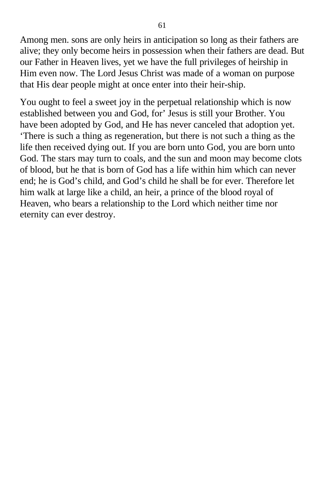Among men. sons are only heirs in anticipation so long as their fathers are alive; they only become heirs in possession when their fathers are dead. But our Father in Heaven lives, yet we have the full privileges of heirship in Him even now. The Lord Jesus Christ was made of a woman on purpose that His dear people might at once enter into their heir-ship.

You ought to feel a sweet joy in the perpetual relationship which is now established between you and God, for' Jesus is still your Brother. You have been adopted by God, and He has never canceled that adoption yet. 'There is such a thing as regeneration, but there is not such a thing as the life then received dying out. If you are born unto God, you are born unto God. The stars may turn to coals, and the sun and moon may become clots of blood, but he that is born of God has a life within him which can never end; he is God's child, and God's child he shall be for ever. Therefore let him walk at large like a child, an heir, a prince of the blood royal of Heaven, who bears a relationship to the Lord which neither time nor eternity can ever destroy.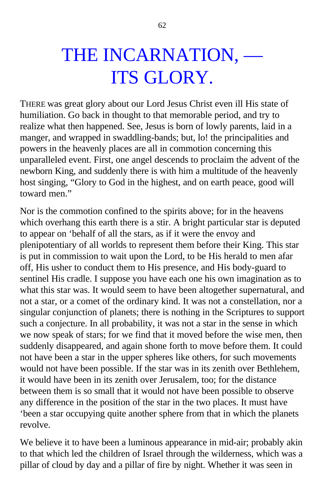# THE INCARNATION, — ITS GLORY.

THERE was great glory about our Lord Jesus Christ even ill His state of humiliation. Go back in thought to that memorable period, and try to realize what then happened. See, Jesus is born of lowly parents, laid in a manger, and wrapped in swaddling-bands; but, lo! the principalities and powers in the heavenly places are all in commotion concerning this unparalleled event. First, one angel descends to proclaim the advent of the newborn King, and suddenly there is with him a multitude of the heavenly host singing, "Glory to God in the highest, and on earth peace, good will toward men."

Nor is the commotion confined to the spirits above; for in the heavens which overhang this earth there is a stir. A bright particular star is deputed to appear on 'behalf of all the stars, as if it were the envoy and plenipotentiary of all worlds to represent them before their King. This star is put in commission to wait upon the Lord, to be His herald to men afar off, His usher to conduct them to His presence, and His body-guard to sentinel His cradle. I suppose you have each one his own imagination as to what this star was. It would seem to have been altogether supernatural, and not a star, or a comet of the ordinary kind. It was not a constellation, nor a singular conjunction of planets; there is nothing in the Scriptures to support such a conjecture. In all probability, it was not a star in the sense in which we now speak of stars; for we find that it moved before the wise men, then suddenly disappeared, and again shone forth to move before them. It could not have been a star in the upper spheres like others, for such movements would not have been possible. If the star was in its zenith over Bethlehem, it would have been in its zenith over Jerusalem, too; for the distance between them is so small that it would not have been possible to observe any difference in the position of the star in the two places. It must have 'been a star occupying quite another sphere from that in which the planets revolve.

We believe it to have been a luminous appearance in mid-air; probably akin to that which led the children of Israel through the wilderness, which was a pillar of cloud by day and a pillar of fire by night. Whether it was seen in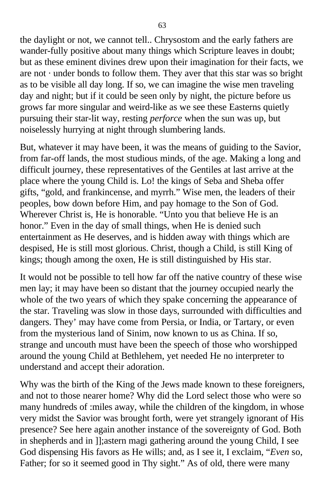the daylight or not, we cannot tell.. Chrysostom and the early fathers are wander-fully positive about many things which Scripture leaves in doubt; but as these eminent divines drew upon their imagination for their facts, we are not  $\cdot$  under bonds to follow them. They aver that this star was so bright as to be visible all day long. If so, we can imagine the wise men traveling day and night; but if it could be seen only by night, the picture before us grows far more singular and weird-like as we see these Easterns quietly pursuing their star-lit way, resting *perforce* when the sun was up, but noiselessly hurrying at night through slumbering lands.

But, whatever it may have been, it was the means of guiding to the Savior, from far-off lands, the most studious minds, of the age. Making a long and difficult journey, these representatives of the Gentiles at last arrive at the place where the young Child is. Lo! the kings of Seba and Sheba offer gifts, "gold, and frankincense, and myrrh." Wise men, the leaders of their peoples, bow down before Him, and pay homage to the Son of God. Wherever Christ is, He is honorable. "Unto you that believe He is an honor." Even in the day of small things, when He is denied such entertainment as He deserves, and is hidden away with things which are despised, He is still most glorious. Christ, though a Child, is still King of kings; though among the oxen, He is still distinguished by His star.

It would not be possible to tell how far off the native country of these wise men lay; it may have been so distant that the journey occupied nearly the whole of the two years of which they spake concerning the appearance of the star. Traveling was slow in those days, surrounded with difficulties and dangers. They' may have come from Persia, or India, or Tartary, or even from the mysterious land of Sinim, now known to us as China. If so, strange and uncouth must have been the speech of those who worshipped around the young Child at Bethlehem, yet needed He no interpreter to understand and accept their adoration.

Why was the birth of the King of the Jews made known to these foreigners, and not to those nearer home? Why did the Lord select those who were so many hundreds of :miles away, while the children of the kingdom, in whose very midst the Savior was brought forth, were yet strangely ignorant of His presence? See here again another instance of the sovereignty of God. Both in shepherds and in ]];astern magi gathering around the young Child, I see God dispensing His favors as He wills; and, as I see it, I exclaim, "*Even* so, Father; for so it seemed good in Thy sight." As of old, there were many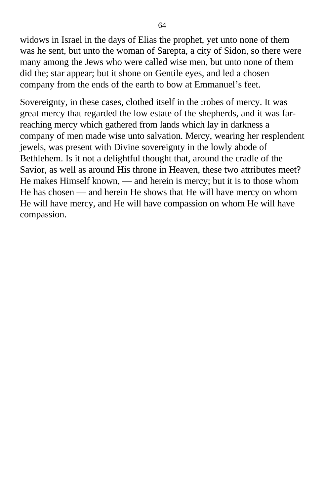widows in Israel in the days of Elias the prophet, yet unto none of them was he sent, but unto the woman of Sarepta, a city of Sidon, so there were many among the Jews who were called wise men, but unto none of them did the; star appear; but it shone on Gentile eyes, and led a chosen company from the ends of the earth to bow at Emmanuel's feet.

Sovereignty, in these cases, clothed itself in the :robes of mercy. It was great mercy that regarded the low estate of the shepherds, and it was farreaching mercy which gathered from lands which lay in darkness a company of men made wise unto salvation. Mercy, wearing her resplendent jewels, was present with Divine sovereignty in the lowly abode of Bethlehem. Is it not a delightful thought that, around the cradle of the Savior, as well as around His throne in Heaven, these two attributes meet? He makes Himself known, — and herein is mercy; but it is to those whom He has chosen — and herein He shows that He will have mercy on whom He will have mercy, and He will have compassion on whom He will have compassion.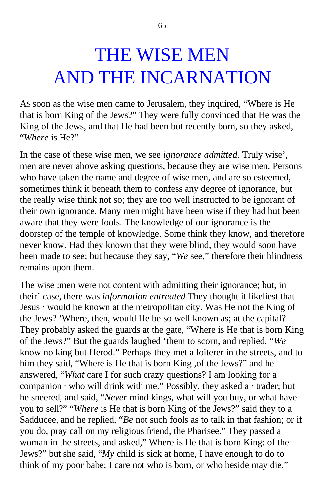### THE WISE MEN AND THE INCARNATION

AS soon as the wise men came to Jerusalem, they inquired, "Where is He that is born King of the Jews?" They were fully convinced that He was the King of the Jews, and that He had been but recently born, so they asked, "*Where* is He?"

In the case of these wise men, we see *ignorance admitted.* Truly wise', men are never above asking questions, because they are wise men. Persons who have taken the name and degree of wise men, and are so esteemed, sometimes think it beneath them to confess any degree of ignorance, but the really wise think not so; they are too well instructed to be ignorant of their own ignorance. Many men might have been wise if they had but been aware that they were fools. The knowledge of our ignorance is the doorstep of the temple of knowledge. Some think they know, and therefore never know. Had they known that they were blind, they would soon have been made to see; but because they say, "*We* see," therefore their blindness remains upon them.

The wise :men were not content with admitting their ignorance; but, in their' case, there was *information entreated* They thought it likeliest that Jesus · would be known at the metropolitan city. Was He not the King of the Jews? 'Where, then, would He be so well known as; at the capital? They probably asked the guards at the gate, "Where is He that is born King of the Jews?" But the guards laughed 'them to scorn, and replied, "*We* know no king but Herod." Perhaps they met a loiterer in the streets, and to him they said, "Where is He that is born King, of the Jews?" and he answered, "*What* care I for such crazy questions? I am looking for a companion  $\cdot$  who will drink with me." Possibly, they asked a  $\cdot$  trader; but he sneered, and said, "*Never* mind kings, what will you buy, or what have you to sell?" "*Where* is He that is born King of the Jews?" said they to a Sadducee, and he replied, "*Be* not such fools as to talk in that fashion; or if you do, pray call on my religious friend, the Pharisee." They passed a woman in the streets, and asked," Where is He that is born King: of the Jews?" but she said, "*My* child is sick at home, I have enough to do to think of my poor babe; I care not who is born, or who beside may die."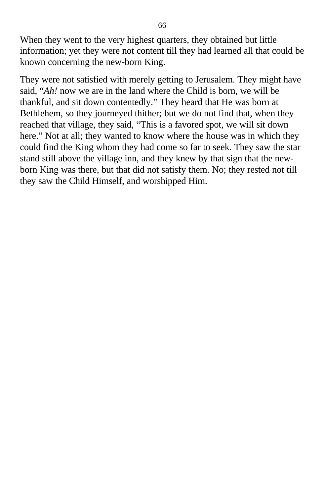When they went to the very highest quarters, they obtained but little information; yet they were not content till they had learned all that could be known concerning the new-born King.

They were not satisfied with merely getting to Jerusalem. They might have said, "*Ah!* now we are in the land where the Child is born, we will be thankful, and sit down contentedly." They heard that He was born at Bethlehem, so they journeyed thither; but we do not find that, when they reached that village, they said, "This is a favored spot, we will sit down here." Not at all; they wanted to know where the house was in which they could find the King whom they had come so far to seek. They saw the star stand still above the village inn, and they knew by that sign that the newborn King was there, but that did not satisfy them. No; they rested not till they saw the Child Himself, and worshipped Him.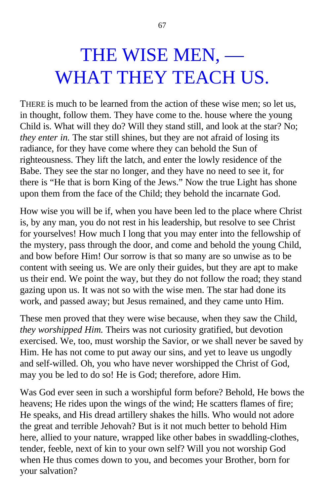### THE WISE MEN, — WHAT THEY TEACH US.

THERE is much to be learned from the action of these wise men; so let us, in thought, follow them. They have come to the. house where the young Child is. What will they do? Will they stand still, and look at the star? No; *they enter in.* The star still shines, but they are not afraid of losing its radiance, for they have come where they can behold the Sun of righteousness. They lift the latch, and enter the lowly residence of the Babe. They see the star no longer, and they have no need to see it, for there is "He that is born King of the Jews." Now the true Light has shone upon them from the face of the Child; they behold the incarnate God.

How wise you will be if, when you have been led to the place where Christ is, by any man, you do not rest in his leadership, but resolve to see Christ for yourselves! How much I long that you may enter into the fellowship of the mystery, pass through the door, and come and behold the young Child, and bow before Him! Our sorrow is that so many are so unwise as to be content with seeing us. We are only their guides, but they are apt to make us their end. We point the way, but they do not follow the road; they stand gazing upon us. It was not so with the wise men. The star had done its work, and passed away; but Jesus remained, and they came unto Him.

These men proved that they were wise because, when they saw the Child, *they worshipped Him.* Theirs was not curiosity gratified, but devotion exercised. We, too, must worship the Savior, or we shall never be saved by Him. He has not come to put away our sins, and yet to leave us ungodly and self-willed. Oh, you who have never worshipped the Christ of God, may you be led to do so! He is God; therefore, adore Him.

Was God ever seen in such a worshipful form before? Behold, He bows the heavens; He rides upon the wings of the wind; He scatters flames of fire; He speaks, and His dread artillery shakes the hills. Who would not adore the great and terrible Jehovah? But is it not much better to behold Him here, allied to your nature, wrapped like other babes in swaddling-clothes, tender, feeble, next of kin to your own self? Will you not worship God when He thus comes down to you, and becomes your Brother, born for your salvation?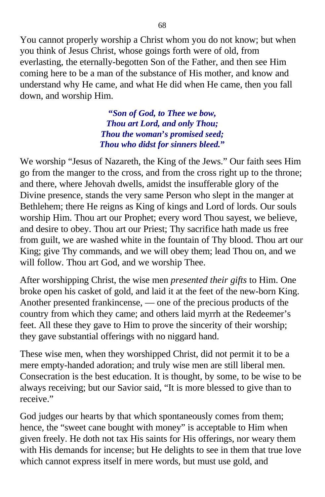You cannot properly worship a Christ whom you do not know; but when you think of Jesus Christ, whose goings forth were of old, from everlasting, the eternally-begotten Son of the Father, and then see Him coming here to be a man of the substance of His mother, and know and understand why He came, and what He did when He came, then you fall down, and worship Him.

> **"***Son of God, to Thee we bow, Thou art Lord, and only Thou; Thou the woman***'***s promised seed; Thou who didst for sinners bleed.***"**

We worship "Jesus of Nazareth, the King of the Jews." Our faith sees Him go from the manger to the cross, and from the cross right up to the throne; and there, where Jehovah dwells, amidst the insufferable glory of the Divine presence, stands the very same Person who slept in the manger at Bethlehem; there He reigns as King of kings and Lord of lords. Our souls worship Him. Thou art our Prophet; every word Thou sayest, we believe, and desire to obey. Thou art our Priest; Thy sacrifice hath made us free from guilt, we are washed white in the fountain of Thy blood. Thou art our King; give Thy commands, and we will obey them; lead Thou on, and we will follow. Thou art God, and we worship Thee.

After worshipping Christ, the wise men *presented their gifts* to Him. One broke open his casket of gold, and laid it at the feet of the new-born King. Another presented frankincense, — one of the precious products of the country from which they came; and others laid myrrh at the Redeemer's feet. All these they gave to Him to prove the sincerity of their worship; they gave substantial offerings with no niggard hand.

These wise men, when they worshipped Christ, did not permit it to be a mere empty-handed adoration; and truly wise men are still liberal men. Consecration is the best education. It is thought, by some, to be wise to be always receiving; but our Savior said, "It is more blessed to give than to receive."

God judges our hearts by that which spontaneously comes from them; hence, the "sweet cane bought with money" is acceptable to Him when given freely. He doth not tax His saints for His offerings, nor weary them with His demands for incense; but He delights to see in them that true love which cannot express itself in mere words, but must use gold, and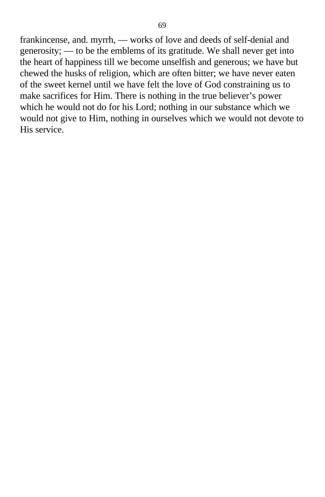frankincense, and. myrrh, — works of love and deeds of self-denial and generosity; — to be the emblems of its gratitude. We shall never get into the heart of happiness till we become unselfish and generous; we have but chewed the husks of religion, which are often bitter; we have never eaten of the sweet kernel until we have felt the love of God constraining us to make sacrifices for Him. There is nothing in the true believer's power which he would not do for his Lord; nothing in our substance which we would not give to Him, nothing in ourselves which we would not devote to His service.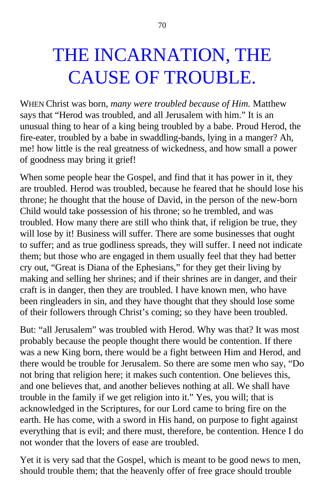# THE INCARNATION, THE CAUSE OF TROUBLE.

WHEN Christ was born, *many were troubled because of Him.* Matthew says that "Herod was troubled, and all Jerusalem with him." It is an unusual thing to hear of a king being troubled by a babe. Proud Herod, the fire-eater, troubled by a babe in swaddling-bands, lying in a manger? Ah, me! how little is the real greatness of wickedness, and how small a power of goodness may bring it grief!

When some people hear the Gospel, and find that it has power in it, they are troubled. Herod was troubled, because he feared that he should lose his throne; he thought that the house of David, in the person of the new-born Child would take possession of his throne; so he trembled, and was troubled. How many there are still who think that, if religion be true, they will lose by it! Business will suffer. There are some businesses that ought to suffer; and as true godliness spreads, they will suffer. I need not indicate them; but those who are engaged in them usually feel that they had better cry out, "Great is Diana of the Ephesians," for they get their living by making and selling her shrines; and if their shrines are in danger, and their craft is in danger, then they are troubled. I have known men, who have been ringleaders in sin, and they have thought that they should lose some of their followers through Christ's coming; so they have been troubled.

But: "all Jerusalem" was troubled with Herod. Why was that? It was most probably because the people thought there would be contention. If there was a new King born, there would be a fight between Him and Herod, and there would be trouble for Jerusalem. So there are some men who say, "Do not bring that religion here; it makes such contention. One believes this, and one believes that, and another believes nothing at all. We shall have trouble in the family if we get religion into it." Yes, you will; that is acknowledged in the Scriptures, for our Lord came to bring fire on the earth. He has come, with a sword in His hand, on purpose to fight against everything that is evil; and there must, therefore, be contention. Hence I do not wonder that the lovers of ease are troubled.

Yet it is very sad that the Gospel, which is meant to be good news to men, should trouble them; that the heavenly offer of free grace should trouble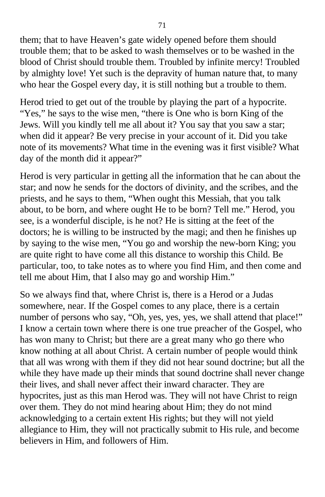them; that to have Heaven's gate widely opened before them should trouble them; that to be asked to wash themselves or to be washed in the blood of Christ should trouble them. Troubled by infinite mercy! Troubled by almighty love! Yet such is the depravity of human nature that, to many who hear the Gospel every day, it is still nothing but a trouble to them.

Herod tried to get out of the trouble by playing the part of a hypocrite. "Yes," he says to the wise men, "there is One who is born King of the Jews. Will you kindly tell me all about it? You say that you saw a star; when did it appear? Be very precise in your account of it. Did you take note of its movements? What time in the evening was it first visible? What day of the month did it appear?"

Herod is very particular in getting all the information that he can about the star; and now he sends for the doctors of divinity, and the scribes, and the priests, and he says to them, "When ought this Messiah, that you talk about, to be born, and where ought He to be born? Tell me." Herod, you see, is a wonderful disciple, is he not? He is sitting at the feet of the doctors; he is willing to be instructed by the magi; and then he finishes up by saying to the wise men, "You go and worship the new-born King; you are quite right to have come all this distance to worship this Child. Be particular, too, to take notes as to where you find Him, and then come and tell me about Him, that I also may go and worship Him."

So we always find that, where Christ is, there is a Herod or a Judas somewhere, near. If the Gospel comes to any place, there is a certain number of persons who say, "Oh, yes, yes, yes, we shall attend that place!" I know a certain town where there is one true preacher of the Gospel, who has won many to Christ; but there are a great many who go there who know nothing at all about Christ. A certain number of people would think that all was wrong with them if they did not hear sound doctrine; but all the while they have made up their minds that sound doctrine shall never change their lives, and shall never affect their inward character. They are hypocrites, just as this man Herod was. They will not have Christ to reign over them. They do not mind hearing about Him; they do not mind acknowledging to a certain extent His rights; but they will not yield allegiance to Him, they will not practically submit to His rule, and become believers in Him, and followers of Him.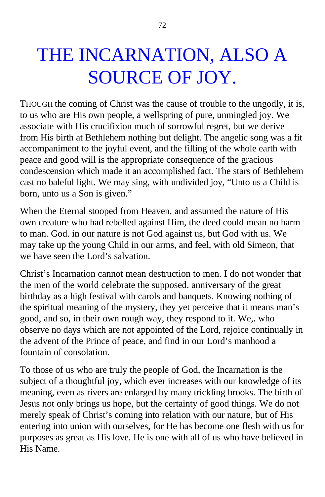# THE INCARNATION, ALSO A SOURCE OF JOY.

THOUGH the coming of Christ was the cause of trouble to the ungodly, it is, to us who are His own people, a wellspring of pure, unmingled joy. We associate with His crucifixion much of sorrowful regret, but we derive from His birth at Bethlehem nothing but delight. The angelic song was a fit accompaniment to the joyful event, and the filling of the whole earth with peace and good will is the appropriate consequence of the gracious condescension which made it an accomplished fact. The stars of Bethlehem cast no baleful light. We may sing, with undivided joy, "Unto us a Child is born, unto us a Son is given."

When the Eternal stooped from Heaven, and assumed the nature of His own creature who had rebelled against Him, the deed could mean no harm to man. God. in our nature is not God against us, but God with us. We may take up the young Child in our arms, and feel, with old Simeon, that we have seen the Lord's salvation.

Christ's Incarnation cannot mean destruction to men. I do not wonder that the men of the world celebrate the supposed. anniversary of the great birthday as a high festival with carols and banquets. Knowing nothing of the spiritual meaning of the mystery, they yet perceive that it means man's good, and so, in their own rough way, they respond to it. We,. who observe no days which are not appointed of the Lord, rejoice continually in the advent of the Prince of peace, and find in our Lord's manhood a fountain of consolation.

To those of us who are truly the people of God, the Incarnation is the subject of a thoughtful joy, which ever increases with our knowledge of its meaning, even as rivers are enlarged by many trickling brooks. The birth of Jesus not only brings us hope, but the certainty of good things. We do not merely speak of Christ's coming into relation with our nature, but of His entering into union with ourselves, for He has become one flesh with us for purposes as great as His love. He is one with all of us who have believed in His Name.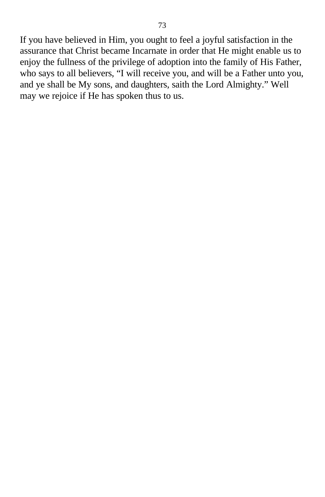If you have believed in Him, you ought to feel a joyful satisfaction in the assurance that Christ became Incarnate in order that He might enable us to enjoy the fullness of the privilege of adoption into the family of His Father, who says to all believers, "I will receive you, and will be a Father unto you, and ye shall be My sons, and daughters, saith the Lord Almighty." Well may we rejoice if He has spoken thus to us.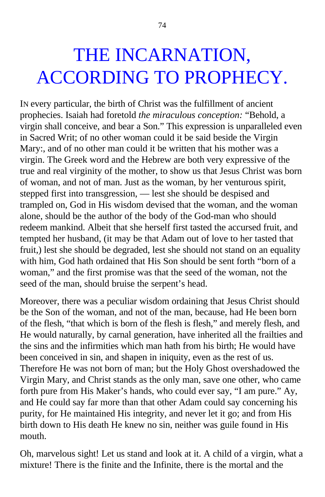# THE INCARNATION, ACCORDING TO PROPHECY.

IN every particular, the birth of Christ was the fulfillment of ancient prophecies. Isaiah had foretold *the miraculous conception:* "Behold, a virgin shall conceive, and bear a Son." This expression is unparalleled even in Sacred Writ; of no other woman could it be said beside the Virgin Mary:, and of no other man could it be written that his mother was a virgin. The Greek word and the Hebrew are both very expressive of the true and real virginity of the mother, to show us that Jesus Christ was born of woman, and not of man. Just as the woman, by her venturous spirit, stepped first into transgression, — lest she should be despised and trampled on, God in His wisdom devised that the woman, and the woman alone, should be the author of the body of the God-man who should redeem mankind. Albeit that she herself first tasted the accursed fruit, and tempted her husband, (it may be that Adam out of love to her tasted that fruit,) lest she should be degraded, lest she should not stand on an equality with him, God hath ordained that His Son should be sent forth "born of a woman," and the first promise was that the seed of the woman, not the seed of the man, should bruise the serpent's head.

Moreover, there was a peculiar wisdom ordaining that Jesus Christ should be the Son of the woman, and not of the man, because, had He been born of the flesh, "that which is born of the flesh is flesh," and merely flesh, and He would naturally, by carnal generation, have inherited all the frailties and the sins and the infirmities which man hath from his birth; He would have been conceived in sin, and shapen in iniquity, even as the rest of us. Therefore He was not born of man; but the Holy Ghost overshadowed the Virgin Mary, and Christ stands as the only man, save one other, who came forth pure from His Maker's hands, who could ever say, "I am pure." Ay, and He could say far more than that other Adam could say concerning his purity, for He maintained His integrity, and never let it go; and from His birth down to His death He knew no sin, neither was guile found in His mouth.

Oh, marvelous sight! Let us stand and look at it. A child of a virgin, what a mixture! There is the finite and the Infinite, there is the mortal and the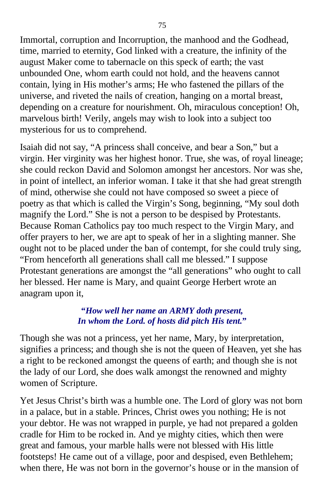Immortal, corruption and Incorruption, the manhood and the Godhead, time, married to eternity, God linked with a creature, the infinity of the august Maker come to tabernacle on this speck of earth; the vast unbounded One, whom earth could not hold, and the heavens cannot contain, lying in His mother's arms; He who fastened the pillars of the universe, and riveted the nails of creation, hanging on a mortal breast, depending on a creature for nourishment. Oh, miraculous conception! Oh, marvelous birth! Verily, angels may wish to look into a subject too mysterious for us to comprehend.

Isaiah did not say, "A princess shall conceive, and bear a Son," but a virgin. Her virginity was her highest honor. True, she was, of royal lineage; she could reckon David and Solomon amongst her ancestors. Nor was she, in point of intellect, an inferior woman. I take it that she had great strength of mind, otherwise she could not have composed so sweet a piece of poetry as that which is called the Virgin's Song, beginning, "My soul doth magnify the Lord." She is not a person to be despised by Protestants. Because Roman Catholics pay too much respect to the Virgin Mary, and offer prayers to her, we are apt to speak of her in a slighting manner. She ought not to be placed under the ban of contempt, for she could truly sing, "From henceforth all generations shall call me blessed." I suppose Protestant generations are amongst the "all generations" who ought to call her blessed. Her name is Mary, and quaint George Herbert wrote an anagram upon it,

#### **"***How well her name an ARMY doth present, In whom the Lord. of hosts did pitch His tent.***"**

Though she was not a princess, yet her name, Mary, by interpretation, signifies a princess; and though she is not the queen of Heaven, yet she has a right to be reckoned amongst the queens of earth; and though she is not the lady of our Lord, she does walk amongst the renowned and mighty women of Scripture.

Yet Jesus Christ's birth was a humble one. The Lord of glory was not born in a palace, but in a stable. Princes, Christ owes you nothing; He is not your debtor. He was not wrapped in purple, ye had not prepared a golden cradle for Him to be rocked in. And ye mighty cities, which then were great and famous, your marble halls were not blessed with His little footsteps! He came out of a village, poor and despised, even Bethlehem; when there, He was not born in the governor's house or in the mansion of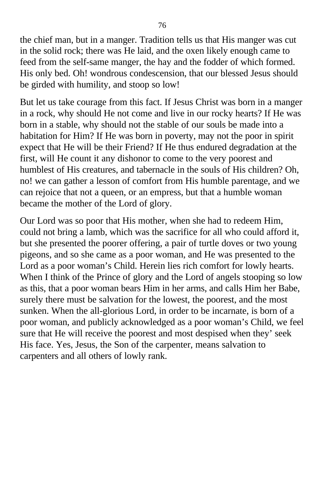the chief man, but in a manger. Tradition tells us that His manger was cut in the solid rock; there was He laid, and the oxen likely enough came to feed from the self-same manger, the hay and the fodder of which formed. His only bed. Oh! wondrous condescension, that our blessed Jesus should be girded with humility, and stoop so low!

But let us take courage from this fact. If Jesus Christ was born in a manger in a rock, why should He not come and live in our rocky hearts? If He was born in a stable, why should not the stable of our souls be made into a habitation for Him? If He was born in poverty, may not the poor in spirit expect that He will be their Friend? If He thus endured degradation at the first, will He count it any dishonor to come to the very poorest and humblest of His creatures, and tabernacle in the souls of His children? Oh, no! we can gather a lesson of comfort from His humble parentage, and we can rejoice that not a queen, or an empress, but that a humble woman became the mother of the Lord of glory.

Our Lord was so poor that His mother, when she had to redeem Him, could not bring a lamb, which was the sacrifice for all who could afford it, but she presented the poorer offering, a pair of turtle doves or two young pigeons, and so she came as a poor woman, and He was presented to the Lord as a poor woman's Child. Herein lies rich comfort for lowly hearts. When I think of the Prince of glory and the Lord of angels stooping so low as this, that a poor woman bears Him in her arms, and calls Him her Babe, surely there must be salvation for the lowest, the poorest, and the most sunken. When the all-glorious Lord, in order to be incarnate, is born of a poor woman, and publicly acknowledged as a poor woman's Child, we feel sure that He will receive the poorest and most despised when they' seek His face. Yes, Jesus, the Son of the carpenter, means salvation to carpenters and all others of lowly rank.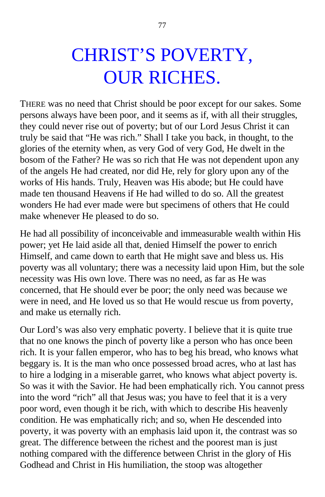## CHRIST'S POVERTY, OUR RICHES.

THERE was no need that Christ should be poor except for our sakes. Some persons always have been poor, and it seems as if, with all their struggles, they could never rise out of poverty; but of our Lord Jesus Christ it can truly be said that "He was rich." Shall I take you back, in thought, to the glories of the eternity when, as very God of very God, He dwelt in the bosom of the Father? He was so rich that He was not dependent upon any of the angels He had created, nor did He, rely for glory upon any of the works of His hands. Truly, Heaven was His abode; but He could have made ten thousand Heavens if He had willed to do so. All the greatest wonders He had ever made were but specimens of others that He could make whenever He pleased to do so.

He had all possibility of inconceivable and immeasurable wealth within His power; yet He laid aside all that, denied Himself the power to enrich Himself, and came down to earth that He might save and bless us. His poverty was all voluntary; there was a necessity laid upon Him, but the sole necessity was His own love. There was no need, as far as He was concerned, that He should ever be poor; the only need was because we were in need, and He loved us so that He would rescue us from poverty, and make us eternally rich.

Our Lord's was also very emphatic poverty. I believe that it is quite true that no one knows the pinch of poverty like a person who has once been rich. It is your fallen emperor, who has to beg his bread, who knows what beggary is. It is the man who once possessed broad acres, who at last has to hire a lodging in a miserable garret, who knows what abject poverty is. So was it with the Savior. He had been emphatically rich. You cannot press into the word "rich" all that Jesus was; you have to feel that it is a very poor word, even though it be rich, with which to describe His heavenly condition. He was emphatically rich; and so, when He descended into poverty, it was poverty with an emphasis laid upon it, the contrast was so great. The difference between the richest and the poorest man is just nothing compared with the difference between Christ in the glory of His Godhead and Christ in His humiliation, the stoop was altogether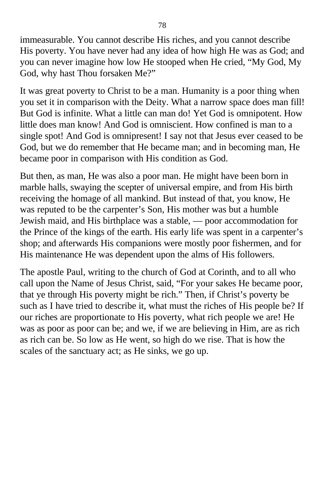immeasurable. You cannot describe His riches, and you cannot describe His poverty. You have never had any idea of how high He was as God; and you can never imagine how low He stooped when He cried, "My God, My God, why hast Thou forsaken Me?"

It was great poverty to Christ to be a man. Humanity is a poor thing when you set it in comparison with the Deity. What a narrow space does man fill! But God is infinite. What a little can man do! Yet God is omnipotent. How little does man know! And God is omniscient. How confined is man to a single spot! And God is omnipresent! I say not that Jesus ever ceased to be God, but we do remember that He became man; and in becoming man, He became poor in comparison with His condition as God.

But then, as man, He was also a poor man. He might have been born in marble halls, swaying the scepter of universal empire, and from His birth receiving the homage of all mankind. But instead of that, you know, He was reputed to be the carpenter's Son, His mother was but a humble Jewish maid, and His birthplace was a stable, — poor accommodation for the Prince of the kings of the earth. His early life was spent in a carpenter's shop; and afterwards His companions were mostly poor fishermen, and for His maintenance He was dependent upon the alms of His followers.

The apostle Paul, writing to the church of God at Corinth, and to all who call upon the Name of Jesus Christ, said, "For your sakes He became poor, that ye through His poverty might be rich." Then, if Christ's poverty be such as I have tried to describe it, what must the riches of His people be? If our riches are proportionate to His poverty, what rich people we are! He was as poor as poor can be; and we, if we are believing in Him, are as rich as rich can be. So low as He went, so high do we rise. That is how the scales of the sanctuary act; as He sinks, we go up.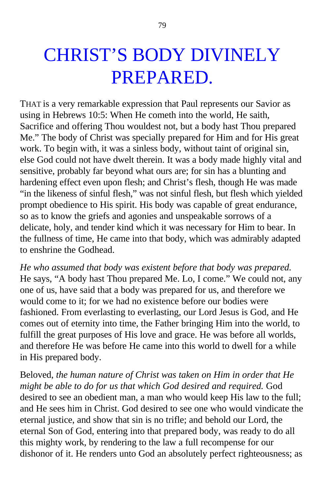## CHRIST'S BODY DIVINELY PREPARED.

THAT is a very remarkable expression that Paul represents our Savior as using in Hebrews 10:5: When He cometh into the world, He saith, Sacrifice and offering Thou wouldest not, but a body hast Thou prepared Me." The body of Christ was specially prepared for Him and for His great work. To begin with, it was a sinless body, without taint of original sin, else God could not have dwelt therein. It was a body made highly vital and sensitive, probably far beyond what ours are; for sin has a blunting and hardening effect even upon flesh; and Christ's flesh, though He was made "in the likeness of sinful flesh," was not sinful flesh, but flesh which yielded prompt obedience to His spirit. His body was capable of great endurance, so as to know the griefs and agonies and unspeakable sorrows of a delicate, holy, and tender kind which it was necessary for Him to bear. In the fullness of time, He came into that body, which was admirably adapted to enshrine the Godhead.

*He who assumed that body was existent before that body was prepared.* He says, "A body hast Thou prepared Me. Lo, I come." We could not, any one of us, have said that a body was prepared for us, and therefore we would come to it; for we had no existence before our bodies were fashioned. From everlasting to everlasting, our Lord Jesus is God, and He comes out of eternity into time, the Father bringing Him into the world, to fulfill the great purposes of His love and grace. He was before all worlds, and therefore He was before He came into this world to dwell for a while in His prepared body.

Beloved, *the human nature of Christ was taken on Him in order that He might be able to do for us that which God desired and required.* God desired to see an obedient man, a man who would keep His law to the full; and He sees him in Christ. God desired to see one who would vindicate the eternal justice, and show that sin is no trifle; and behold our Lord, the eternal Son of God, entering into that prepared body, was ready to do all this mighty work, by rendering to the law a full recompense for our dishonor of it. He renders unto God an absolutely perfect righteousness; as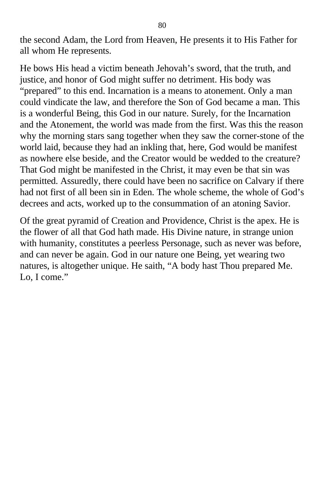the second Adam, the Lord from Heaven, He presents it to His Father for all whom He represents.

He bows His head a victim beneath Jehovah's sword, that the truth, and justice, and honor of God might suffer no detriment. His body was "prepared" to this end. Incarnation is a means to atonement. Only a man could vindicate the law, and therefore the Son of God became a man. This is a wonderful Being, this God in our nature. Surely, for the Incarnation and the Atonement, the world was made from the first. Was this the reason why the morning stars sang together when they saw the corner-stone of the world laid, because they had an inkling that, here, God would be manifest as nowhere else beside, and the Creator would be wedded to the creature? That God might be manifested in the Christ, it may even be that sin was permitted. Assuredly, there could have been no sacrifice on Calvary if there had not first of all been sin in Eden. The whole scheme, the whole of God's decrees and acts, worked up to the consummation of an atoning Savior.

Of the great pyramid of Creation and Providence, Christ is the apex. He is the flower of all that God hath made. His Divine nature, in strange union with humanity, constitutes a peerless Personage, such as never was before, and can never be again. God in our nature one Being, yet wearing two natures, is altogether unique. He saith, "A body hast Thou prepared Me. Lo, I come."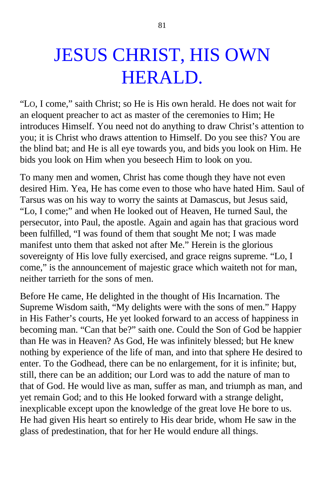# JESUS CHRIST, HIS OWN HERALD.

"LO, I come," saith Christ; so He is His own herald. He does not wait for an eloquent preacher to act as master of the ceremonies to Him; He introduces Himself. You need not do anything to draw Christ's attention to you; it is Christ who draws attention to Himself. Do you see this? You are the blind bat; and He is all eye towards you, and bids you look on Him. He bids you look on Him when you beseech Him to look on you.

To many men and women, Christ has come though they have not even desired Him. Yea, He has come even to those who have hated Him. Saul of Tarsus was on his way to worry the saints at Damascus, but Jesus said, "Lo, I come;" and when He looked out of Heaven, He turned Saul, the persecutor, into Paul, the apostle. Again and again has that gracious word been fulfilled, "I was found of them that sought Me not; I was made manifest unto them that asked not after Me." Herein is the glorious sovereignty of His love fully exercised, and grace reigns supreme. "Lo, I come," is the announcement of majestic grace which waiteth not for man, neither tarrieth for the sons of men.

Before He came, He delighted in the thought of His Incarnation. The Supreme Wisdom saith, "My delights were with the sons of men." Happy in His Father's courts, He yet looked forward to an access of happiness in becoming man. "Can that be?" saith one. Could the Son of God be happier than He was in Heaven? As God, He was infinitely blessed; but He knew nothing by experience of the life of man, and into that sphere He desired to enter. To the Godhead, there can be no enlargement, for it is infinite; but, still, there can be an addition; our Lord was to add the nature of man to that of God. He would live as man, suffer as man, and triumph as man, and yet remain God; and to this He looked forward with a strange delight, inexplicable except upon the knowledge of the great love He bore to us. He had given His heart so entirely to His dear bride, whom He saw in the glass of predestination, that for her He would endure all things.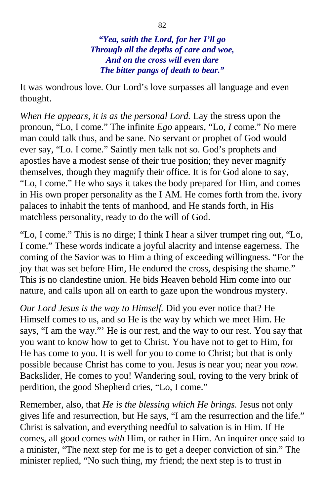*"Yea, saith the Lord, for her I'll go Through all the depths of care and woe, And on the cross will even dare The bitter pangs of death to bear."*

It was wondrous love. Our Lord's love surpasses all language and even thought.

*When He appears, it is as the personal Lord.* Lay the stress upon the pronoun, "Lo, I come." The infinite *Ego* appears, "Lo, *I* come." No mere man could talk thus, and be sane. No servant or prophet of God would ever say, "Lo. I come." Saintly men talk not so. God's prophets and apostles have a modest sense of their true position; they never magnify themselves, though they magnify their office. It is for God alone to say, "Lo, I come." He who says it takes the body prepared for Him, and comes in His own proper personality as the I AM. He comes forth from the. ivory palaces to inhabit the tents of manhood, and He stands forth, in His matchless personality, ready to do the will of God.

"Lo, I come." This is no dirge; I think I hear a silver trumpet ring out, "Lo, I come." These words indicate a joyful alacrity and intense eagerness. The coming of the Savior was to Him a thing of exceeding willingness. "For the joy that was set before Him, He endured the cross, despising the shame." This is no clandestine union. He bids Heaven behold Him come into our nature, and calls upon all on earth to gaze upon the wondrous mystery.

*Our Lord Jesus is the way to Himself.* Did you ever notice that? He Himself comes to us, and so He is the way by which we meet Him. He says, "I am the way."' He is our rest, and the way to our rest. You say that you want to know how to get to Christ. You have not to get to Him, for He has come to you. It is well for you to come to Christ; but that is only possible because Christ has come to you. Jesus is near you; near you *now.* Backslider, He comes to you! Wandering soul, roving to the very brink of perdition, the good Shepherd cries, "Lo, I come."

Remember, also, that *He is the blessing which He brings.* Jesus not only gives life and resurrection, but He says, "I am the resurrection and the life." Christ is salvation, and everything needful to salvation is in Him. If He comes, all good comes *with* Him, or rather in Him. An inquirer once said to a minister, "The next step for me is to get a deeper conviction of sin." The minister replied, "No such thing, my friend; the next step is to trust in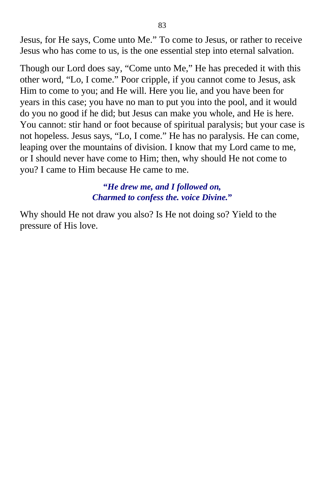Jesus, for He says, Come unto Me." To come to Jesus, or rather to receive Jesus who has come to us, is the one essential step into eternal salvation.

Though our Lord does say, "Come unto Me," He has preceded it with this other word, "Lo, I come." Poor cripple, if you cannot come to Jesus, ask Him to come to you; and He will. Here you lie, and you have been for years in this case; you have no man to put you into the pool, and it would do you no good if he did; but Jesus can make you whole, and He is here. You cannot: stir hand or foot because of spiritual paralysis; but your case is not hopeless. Jesus says, "Lo, I come." He has no paralysis. He can come, leaping over the mountains of division. I know that my Lord came to me, or I should never have come to Him; then, why should He not come to you? I came to Him because He came to me.

### **"***He drew me, and I followed on, Charmed to confess the. voice Divine.***"**

Why should He not draw you also? Is He not doing so? Yield to the pressure of His love.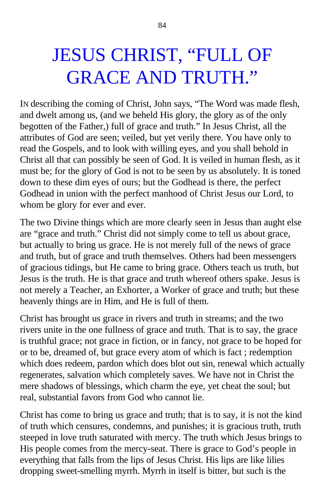# JESUS CHRIST, "FULL OF GRACE AND TRUTH."

IN describing the coming of Christ, John says, "The Word was made flesh, and dwelt among us, (and we beheld His glory, the glory as of the only begotten of the Father,) full of grace and truth." In Jesus Christ, all the attributes of God are seen; veiled, but yet verily there. You have only to read the Gospels, and to look with willing eyes, and you shall behold in Christ all that can possibly be seen of God. It is veiled in human flesh, as it must be; for the glory of God is not to be seen by us absolutely. It is toned down to these dim eyes of ours; but the Godhead is there, the perfect Godhead in union with the perfect manhood of Christ Jesus our Lord, to whom be glory for ever and ever.

The two Divine things which are more clearly seen in Jesus than aught else are "grace and truth." Christ did not simply come to tell us about grace, but actually to bring us grace. He is not merely full of the news of grace and truth, but of grace and truth themselves. Others had been messengers of gracious tidings, but He came to bring grace. Others teach us truth, but Jesus is the truth. He is that grace and truth whereof others spake. Jesus is not merely a Teacher, an Exhorter, a Worker of grace and truth; but these heavenly things are in Him, and He is full of them.

Christ has brought us grace in rivers and truth in streams; and the two rivers unite in the one fullness of grace and truth. That is to say, the grace is truthful grace; not grace in fiction, or in fancy, not grace to be hoped for or to be, dreamed of, but grace every atom of which is fact ; redemption which does redeem, pardon which does blot out sin, renewal which actually regenerates, salvation which completely saves. We have not in Christ the mere shadows of blessings, which charm the eye, yet cheat the soul; but real, substantial favors from God who cannot lie.

Christ has come to bring us grace and truth; that is to say, it is not the kind of truth which censures, condemns, and punishes; it is gracious truth, truth steeped in love truth saturated with mercy. The truth which Jesus brings to His people comes from the mercy-seat. There is grace to God's people in everything that falls from the lips of Jesus Christ. His lips are like lilies dropping sweet-smelling myrrh. Myrrh in itself is bitter, but such is the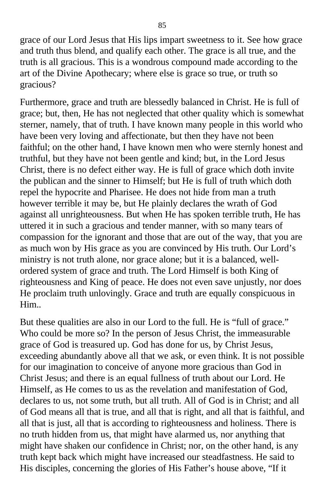grace of our Lord Jesus that His lips impart sweetness to it. See how grace and truth thus blend, and qualify each other. The grace is all true, and the truth is all gracious. This is a wondrous compound made according to the art of the Divine Apothecary; where else is grace so true, or truth so gracious?

Furthermore, grace and truth are blessedly balanced in Christ. He is full of grace; but, then, He has not neglected that other quality which is somewhat sterner, namely, that of truth. I have known many people in this world who have been very loving and affectionate, but then they have not been faithful; on the other hand, I have known men who were sternly honest and truthful, but they have not been gentle and kind; but, in the Lord Jesus Christ, there is no defect either way. He is full of grace which doth invite the publican and the sinner to Himself; but He is full of truth which doth repel the hypocrite and Pharisee. He does not hide from man a truth however terrible it may be, but He plainly declares the wrath of God against all unrighteousness. But when He has spoken terrible truth, He has uttered it in such a gracious and tender manner, with so many tears of compassion for the ignorant and those that are out of the way, that you are as much won by His grace as you are convinced by His truth. Our Lord's ministry is not truth alone, nor grace alone; but it is a balanced, wellordered system of grace and truth. The Lord Himself is both King of righteousness and King of peace. He does not even save unjustly, nor does He proclaim truth unlovingly. Grace and truth are equally conspicuous in Him..

But these qualities are also in our Lord to the full. He is "full of grace." Who could be more so? In the person of Jesus Christ, the immeasurable grace of God is treasured up. God has done for us, by Christ Jesus, exceeding abundantly above all that we ask, or even think. It is not possible for our imagination to conceive of anyone more gracious than God in Christ Jesus; and there is an equal fullness of truth about our Lord. He Himself, as He comes to us as the revelation and manifestation of God, declares to us, not some truth, but all truth. All of God is in Christ; and all of God means all that is true, and all that is right, and all that is faithful, and all that is just, all that is according to righteousness and holiness. There is no truth hidden from us, that might have alarmed us, nor anything that might have shaken our confidence in Christ; nor, on the other hand, is any truth kept back which might have increased our steadfastness. He said to His disciples, concerning the glories of His Father's house above, "If it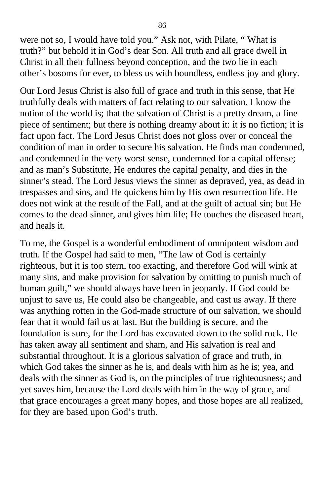were not so, I would have told you." Ask not, with Pilate, " What is truth?" but behold it in God's dear Son. All truth and all grace dwell in Christ in all their fullness beyond conception, and the two lie in each other's bosoms for ever, to bless us with boundless, endless joy and glory.

Our Lord Jesus Christ is also full of grace and truth in this sense, that He truthfully deals with matters of fact relating to our salvation. I know the notion of the world is; that the salvation of Christ is a pretty dream, a fine piece of sentiment; but there is nothing dreamy about it: it is no fiction; it is fact upon fact. The Lord Jesus Christ does not gloss over or conceal the condition of man in order to secure his salvation. He finds man condemned, and condemned in the very worst sense, condemned for a capital offense; and as man's Substitute, He endures the capital penalty, and dies in the sinner's stead. The Lord Jesus views the sinner as depraved, yea, as dead in trespasses and sins, and He quickens him by His own resurrection life. He does not wink at the result of the Fall, and at the guilt of actual sin; but He comes to the dead sinner, and gives him life; He touches the diseased heart, and heals it.

To me, the Gospel is a wonderful embodiment of omnipotent wisdom and truth. If the Gospel had said to men, "The law of God is certainly righteous, but it is too stern, too exacting, and therefore God will wink at many sins, and make provision for salvation by omitting to punish much of human guilt," we should always have been in jeopardy. If God could be unjust to save us, He could also be changeable, and cast us away. If there was anything rotten in the God-made structure of our salvation, we should fear that it would fail us at last. But the building is secure, and the foundation is sure, for the Lord has excavated down to the solid rock. He has taken away all sentiment and sham, and His salvation is real and substantial throughout. It is a glorious salvation of grace and truth, in which God takes the sinner as he is, and deals with him as he is; yea, and deals with the sinner as God is, on the principles of true righteousness; and yet saves him, because the Lord deals with him in the way of grace, and that grace encourages a great many hopes, and those hopes are all realized, for they are based upon God's truth.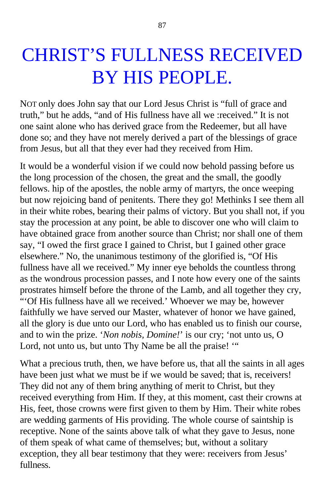## CHRIST'S FULLNESS RECEIVED BY HIS PEOPLE.

NOT only does John say that our Lord Jesus Christ is "full of grace and truth," but he adds, "and of His fullness have all we :received." It is not one saint alone who has derived grace from the Redeemer, but all have done so; and they have not merely derived a part of the blessings of grace from Jesus, but all that they ever had they received from Him.

It would be a wonderful vision if we could now behold passing before us the long procession of the chosen, the great and the small, the goodly fellows. hip of the apostles, the noble army of martyrs, the once weeping but now rejoicing band of penitents. There they go! Methinks I see them all in their white robes, bearing their palms of victory. But you shall not, if you stay the procession at any point, be able to discover one who will claim to have obtained grace from another source than Christ; nor shall one of them say, "I owed the first grace I gained to Christ, but I gained other grace elsewhere." No, the unanimous testimony of the glorified is, "Of His fullness have all we received." My inner eye beholds the countless throng as the wondrous procession passes, and I note how every one of the saints prostrates himself before the throne of the Lamb, and all together they cry, "'Of His fullness have all we received.' Whoever we may be, however faithfully we have served our Master, whatever of honor we have gained, all the glory is due unto our Lord, who has enabled us to finish our course, and to win the prize. '*Non nobis, Domine!*' is our cry; 'not unto us, O Lord, not unto us, but unto Thy Name be all the praise! ""

What a precious truth, then, we have before us, that all the saints in all ages have been just what we must be if we would be saved; that is, receivers! They did not any of them bring anything of merit to Christ, but they received everything from Him. If they, at this moment, cast their crowns at His, feet, those crowns were first given to them by Him. Their white robes are wedding garments of His providing. The whole course of saintship is receptive. None of the saints above talk of what they gave to Jesus, none of them speak of what came of themselves; but, without a solitary exception, they all bear testimony that they were: receivers from Jesus' fullness.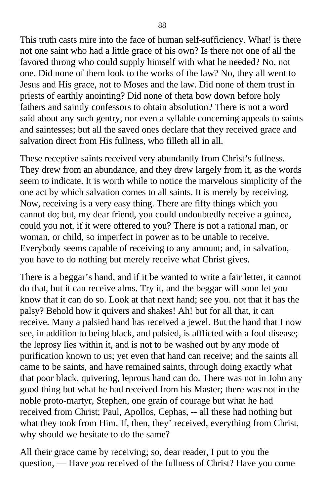This truth casts mire into the face of human self-sufficiency. What! is there not one saint who had a little grace of his own? Is there not one of all the favored throng who could supply himself with what he needed? No, not one. Did none of them look to the works of the law? No, they all went to Jesus and His grace, not to Moses and the law. Did none of them trust in priests of earthly anointing? Did none of theta bow down before holy fathers and saintly confessors to obtain absolution? There is not a word said about any such gentry, nor even a syllable concerning appeals to saints and saintesses; but all the saved ones declare that they received grace and salvation direct from His fullness, who filleth all in all.

These receptive saints received very abundantly from Christ's fullness. They drew from an abundance, and they drew largely from it, as the words seem to indicate. It is worth while to notice the marvelous simplicity of the one act by which salvation comes to all saints. It is merely by receiving. Now, receiving is a very easy thing. There are fifty things which you cannot do; but, my dear friend, you could undoubtedly receive a guinea, could you not, if it were offered to you? There is not a rational man, or woman, or child, so imperfect in power as to be unable to receive. Everybody seems capable of receiving to any amount; and, in salvation, you have to do nothing but merely receive what Christ gives.

There is a beggar's hand, and if it be wanted to write a fair letter, it cannot do that, but it can receive alms. Try it, and the beggar will soon let you know that it can do so. Look at that next hand; see you. not that it has the palsy? Behold how it quivers and shakes! Ah! but for all that, it can receive. Many a palsied hand has received a jewel. But the hand that I now see, in addition to being black, and palsied, is afflicted with a foul disease; the leprosy lies within it, and is not to be washed out by any mode of purification known to us; yet even that hand can receive; and the saints all came to be saints, and have remained saints, through doing exactly what that poor black, quivering, leprous hand can do. There was not in John any good thing but what he had received from his Master; there was not in the noble proto-martyr, Stephen, one grain of courage but what he had received from Christ; Paul, Apollos, Cephas, -- all these had nothing but what they took from Him. If, then, they' received, everything from Christ, why should we hesitate to do the same?

All their grace came by receiving; so, dear reader, I put to you the question, — Have *you* received of the fullness of Christ? Have you come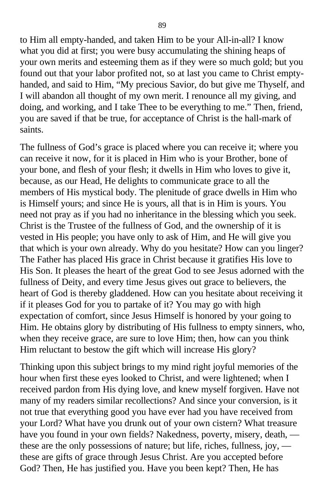to Him all empty-handed, and taken Him to be your All-in-all? I know what you did at first; you were busy accumulating the shining heaps of your own merits and esteeming them as if they were so much gold; but you found out that your labor profited not, so at last you came to Christ emptyhanded, and said to Him, "My precious Savior, do but give me Thyself, and I will abandon all thought of my own merit. I renounce all my giving, and doing, and working, and I take Thee to be everything to me." Then, friend, you are saved if that be true, for acceptance of Christ is the hall-mark of saints.

The fullness of God's grace is placed where you can receive it; where you can receive it now, for it is placed in Him who is your Brother, bone of your bone, and flesh of your flesh; it dwells in Him who loves to give it, because, as our Head, He delights to communicate grace to all the members of His mystical body. The plenitude of grace dwells in Him who is Himself yours; and since He is yours, all that is in Him is yours. You need not pray as if you had no inheritance in the blessing which you seek. Christ is the Trustee of the fullness of God, and the ownership of it is vested in His people; you have only to ask of Him, and He will give you that which is your own already. Why do you hesitate? How can you linger? The Father has placed His grace in Christ because it gratifies His love to His Son. It pleases the heart of the great God to see Jesus adorned with the fullness of Deity, and every time Jesus gives out grace to believers, the heart of God is thereby gladdened. How can you hesitate about receiving it if it pleases God for you to partake of it? You may go with high expectation of comfort, since Jesus Himself is honored by your going to Him. He obtains glory by distributing of His fullness to empty sinners, who, when they receive grace, are sure to love Him; then, how can you think Him reluctant to bestow the gift which will increase His glory?

Thinking upon this subject brings to my mind right joyful memories of the hour when first these eyes looked to Christ, and were lightened; when I received pardon from His dying love, and knew myself forgiven. Have not many of my readers similar recollections? And since your conversion, is it not true that everything good you have ever had you have received from your Lord? What have you drunk out of your own cistern? What treasure have you found in your own fields? Nakedness, poverty, misery, death, these are the only possessions of nature; but life, riches, fullness, joy, these are gifts of grace through Jesus Christ. Are you accepted before God? Then, He has justified you. Have you been kept? Then, He has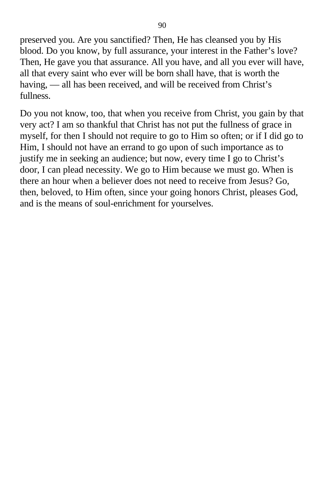preserved you. Are you sanctified? Then, He has cleansed you by His blood. Do you know, by full assurance, your interest in the Father's love? Then, He gave you that assurance. All you have, and all you ever will have, all that every saint who ever will be born shall have, that is worth the having, — all has been received, and will be received from Christ's fullness.

Do you not know, too, that when you receive from Christ, you gain by that very act? I am so thankful that Christ has not put the fullness of grace in myself, for then I should not require to go to Him so often; or if I did go to Him, I should not have an errand to go upon of such importance as to justify me in seeking an audience; but now, every time I go to Christ's door, I can plead necessity. We go to Him because we must go. When is there an hour when a believer does not need to receive from Jesus? Go, then, beloved, to Him often, since your going honors Christ, pleases God, and is the means of soul-enrichment for yourselves.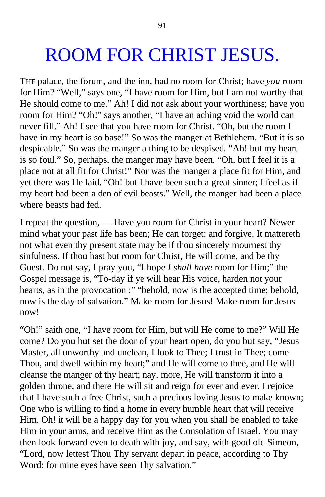### ROOM FOR CHRIST JESUS.

THE palace, the forum, and the inn, had no room for Christ; have *you* room for Him? "Well," says one, "I have room for Him, but I am not worthy that He should come to me." Ah! I did not ask about your worthiness; have you room for Him? "Oh!" says another, "I have an aching void the world can never fill." Ah! I see that you have room for Christ. "Oh, but the room I have in my heart is so base!" So was the manger at Bethlehem. "But it is so despicable." So was the manger a thing to be despised. "Ah! but my heart is so foul." So, perhaps, the manger may have been. "Oh, but I feel it is a place not at all fit for Christ!" Nor was the manger a place fit for Him, and yet there was He laid. "Oh! but I have been such a great sinner; I feel as if my heart had been a den of evil beasts." Well, the manger had been a place where beasts had fed.

I repeat the question, — Have you room for Christ in your heart? Newer mind what your past life has been; He can forget: and forgive. It mattereth not what even thy present state may be if thou sincerely mournest thy sinfulness. If thou hast but room for Christ, He will come, and be thy Guest. Do not say, I pray you, "I hope *I shall have* room for Him;" the Gospel message is, "To-day if ye will hear His voice, harden not your hearts, as in the provocation ;" "behold, now is the accepted time; behold, now is the day of salvation." Make room for Jesus! Make room for Jesus now!

"Oh!" saith one, "I have room for Him, but will He come to me?" Will He come? Do you but set the door of your heart open, do you but say, "Jesus Master, all unworthy and unclean, I look to Thee; I trust in Thee; come Thou, and dwell within my heart;" and He will come to thee, and He will cleanse the manger of thy heart; nay, more, He will transform it into a golden throne, and there He will sit and reign for ever and ever. I rejoice that I have such a free Christ, such a precious loving Jesus to make known; One who is willing to find a home in every humble heart that will receive Him. Oh! it will be a happy day for you when you shall be enabled to take Him in your arms, and receive Him as the Consolation of Israel. You may then look forward even to death with joy, and say, with good old Simeon, "Lord, now lettest Thou Thy servant depart in peace, according to Thy Word: for mine eyes have seen Thy salvation."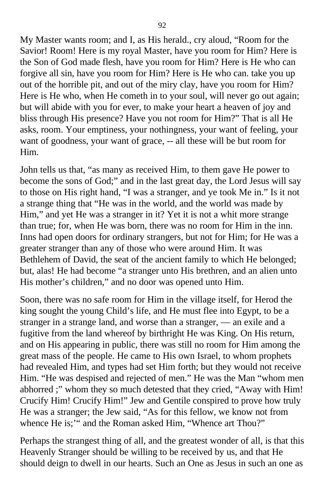My Master wants room; and I, as His herald., cry aloud, "Room for the Savior! Room! Here is my royal Master, have you room for Him? Here is the Son of God made flesh, have you room for Him? Here is He who can forgive all sin, have you room for Him? Here is He who can. take you up out of the horrible pit, and out of the miry clay, have you room for Him? Here is He who, when He cometh in to your soul, will never go out again; but will abide with you for ever, to make your heart a heaven of joy and bliss through His presence? Have you not room for Him?" That is all He asks, room. Your emptiness, your nothingness, your want of feeling, your want of goodness, your want of grace, -- all these will be but room for Him.

John tells us that, "as many as received Him, to them gave He power to become the sons of God;" and in the last great day, the Lord Jesus will say to those on His right hand, "I was a stranger, and ye took Me in." Is it not a strange thing that "He was in the world, and the world was made by Him," and yet He was a stranger in it? Yet it is not a whit more strange than true; for, when He was born, there was no room for Him in the inn. Inns had open doors for ordinary strangers, but not for Him; for He was a greater stranger than any of those who were around Him. It was Bethlehem of David, the seat of the ancient family to which He belonged; but, alas! He had become "a stranger unto His brethren, and an alien unto His mother's children," and no door was opened unto Him.

Soon, there was no safe room for Him in the village itself, for Herod the king sought the young Child's life, and He must flee into Egypt, to be a stranger in a strange land, and worse than a stranger, — an exile and a fugitive from the land whereof by birthright He was King. On His return, and on His appearing in public, there was still no room for Him among the great mass of the people. He came to His own Israel, to whom prophets had revealed Him, and types had set Him forth; but they would not receive Him. "He was despised and rejected of men." He was the Man "whom men abhorred ;" whom they so much detested that they cried, "Away with Him! Crucify Him! Crucify Him!" Jew and Gentile conspired to prove how truly He was a stranger; the Jew said, "As for this fellow, we know not from whence He is;'" and the Roman asked Him, "Whence art Thou?"

Perhaps the strangest thing of all, and the greatest wonder of all, is that this Heavenly Stranger should be willing to be received by us, and that He should deign to dwell in our hearts. Such an One as Jesus in such an one as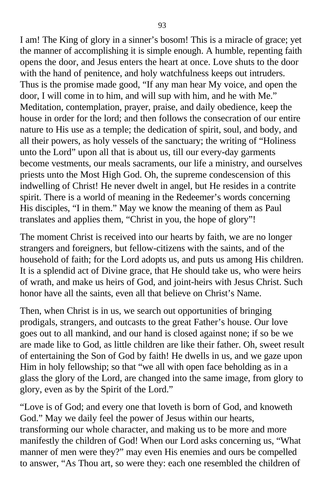I am! The King of glory in a sinner's bosom! This is a miracle of grace; yet the manner of accomplishing it is simple enough. A humble, repenting faith opens the door, and Jesus enters the heart at once. Love shuts to the door with the hand of penitence, and holy watchfulness keeps out intruders. Thus is the promise made good, "If any man hear My voice, and open the door, I will come in to him, and will sup with him, and he with Me." Meditation, contemplation, prayer, praise, and daily obedience, keep the house in order for the lord; and then follows the consecration of our entire nature to His use as a temple; the dedication of spirit, soul, and body, and all their powers, as holy vessels of the sanctuary; the writing of "Holiness unto the Lord" upon all that is about us, till our every-day garments become vestments, our meals sacraments, our life a ministry, and ourselves priests unto the Most High God. Oh, the supreme condescension of this indwelling of Christ! He never dwelt in angel, but He resides in a contrite spirit. There is a world of meaning in the Redeemer's words concerning His disciples, "I in them." May we know the meaning of them as Paul translates and applies them, "Christ in you, the hope of glory"!

The moment Christ is received into our hearts by faith, we are no longer strangers and foreigners, but fellow-citizens with the saints, and of the household of faith; for the Lord adopts us, and puts us among His children. It is a splendid act of Divine grace, that He should take us, who were heirs of wrath, and make us heirs of God, and joint-heirs with Jesus Christ. Such honor have all the saints, even all that believe on Christ's Name.

Then, when Christ is in us, we search out opportunities of bringing prodigals, strangers, and outcasts to the great Father's house. Our love goes out to all mankind, and our hand is closed against none; if so be we are made like to God, as little children are like their father. Oh, sweet result of entertaining the Son of God by faith! He dwells in us, and we gaze upon Him in holy fellowship; so that "we all with open face beholding as in a glass the glory of the Lord, are changed into the same image, from glory to glory, even as by the Spirit of the Lord."

"Love is of God; and every one that loveth is born of God, and knoweth God." May we daily feel the power of Jesus within our hearts, transforming our whole character, and making us to be more and more manifestly the children of God! When our Lord asks concerning us, "What manner of men were they?" may even His enemies and ours be compelled to answer, "As Thou art, so were they: each one resembled the children of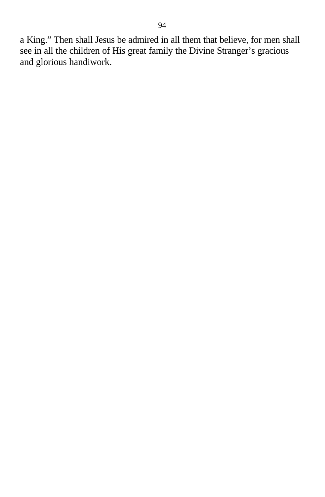a King." Then shall Jesus be admired in all them that believe, for men shall see in all the children of His great family the Divine Stranger's gracious and glorious handiwork.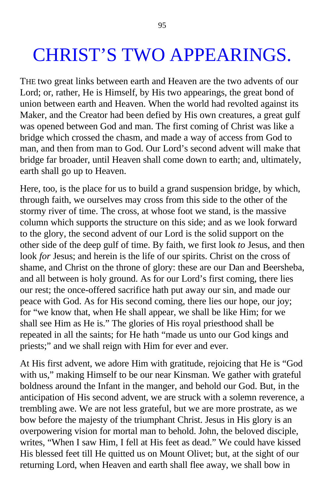## CHRIST'S TWO APPEARINGS.

THE two great links between earth and Heaven are the two advents of our Lord; or, rather, He is Himself, by His two appearings, the great bond of union between earth and Heaven. When the world had revolted against its Maker, and the Creator had been defied by His own creatures, a great gulf was opened between God and man. The first coming of Christ was like a bridge which crossed the chasm, and made a way of access from God to man, and then from man to God. Our Lord's second advent will make that bridge far broader, until Heaven shall come down to earth; and, ultimately, earth shall go up to Heaven.

Here, too, is the place for us to build a grand suspension bridge, by which, through faith, we ourselves may cross from this side to the other of the stormy river of time. The cross, at whose foot we stand, is the massive column which supports the structure on this side; and as we look forward to the glory, the second advent of our Lord is the solid support on the other side of the deep gulf of time. By faith, we first look *to* Jesus, and then look *for* Jesus; and herein is the life of our spirits. Christ on the cross of shame, and Christ on the throne of glory: these are our Dan and Beersheba, and all between is holy ground. As for our Lord's first coming, there lies our rest; the once-offered sacrifice hath put away our sin, and made our peace with God. As for His second coming, there lies our hope, our joy; for "we know that, when He shall appear, we shall be like Him; for we shall see Him as He is." The glories of His royal priesthood shall be repeated in all the saints; for He hath "made us unto our God kings and priests;" and we shall reign with Him for ever and ever.

At His first advent, we adore Him with gratitude, rejoicing that He is "God with us," making Himself to be our near Kinsman. We gather with grateful boldness around the Infant in the manger, and behold our God. But, in the anticipation of His second advent, we are struck with a solemn reverence, a trembling awe. We are not less grateful, but we are more prostrate, as we bow before the majesty of the triumphant Christ. Jesus in His glory is an overpowering vision for mortal man to behold. John, the beloved disciple, writes, "When I saw Him, I fell at His feet as dead." We could have kissed His blessed feet till He quitted us on Mount Olivet; but, at the sight of our returning Lord, when Heaven and earth shall flee away, we shall bow in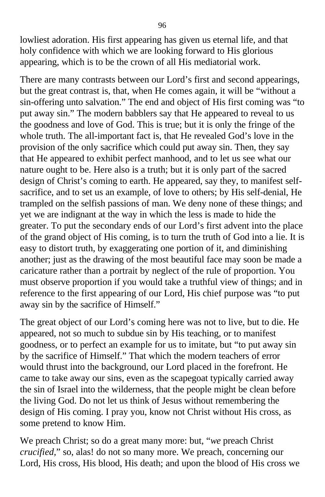lowliest adoration. His first appearing has given us eternal life, and that holy confidence with which we are looking forward to His glorious appearing, which is to be the crown of all His mediatorial work.

There are many contrasts between our Lord's first and second appearings, but the great contrast is, that, when He comes again, it will be "without a sin-offering unto salvation." The end and object of His first coming was "to put away sin." The modern babblers say that He appeared to reveal to us the goodness and love of God. This is true; but it is only the fringe of the whole truth. The all-important fact is, that He revealed God's love in the provision of the only sacrifice which could put away sin. Then, they say that He appeared to exhibit perfect manhood, and to let us see what our nature ought to be. Here also is a truth; but it is only part of the sacred design of Christ's coming to earth. He appeared, say they, to manifest selfsacrifice, and to set us an example, of love to others; by His self-denial, He trampled on the selfish passions of man. We deny none of these things; and yet we are indignant at the way in which the less is made to hide the greater. To put the secondary ends of our Lord's first advent into the place of the grand object of His coming, is to turn the truth of God into a lie. It is easy to distort truth, by exaggerating one portion of it, and diminishing another; just as the drawing of the most beautiful face may soon be made a caricature rather than a portrait by neglect of the rule of proportion. You must observe proportion if you would take a truthful view of things; and in reference to the first appearing of our Lord, His chief purpose was "to put away sin by the sacrifice of Himself."

The great object of our Lord's coming here was not to live, but to die. He appeared, not so much to subdue sin by His teaching, or to manifest goodness, or to perfect an example for us to imitate, but "to put away sin by the sacrifice of Himself." That which the modern teachers of error would thrust into the background, our Lord placed in the forefront. He came to take away our sins, even as the scapegoat typically carried away the sin of Israel into the wilderness, that the people might be clean before the living God. Do not let us think of Jesus without remembering the design of His coming. I pray you, know not Christ without His cross, as some pretend to know Him.

We preach Christ; so do a great many more: but, "*we* preach Christ *crucified,*" so, alas! do not so many more. We preach, concerning our Lord, His cross, His blood, His death; and upon the blood of His cross we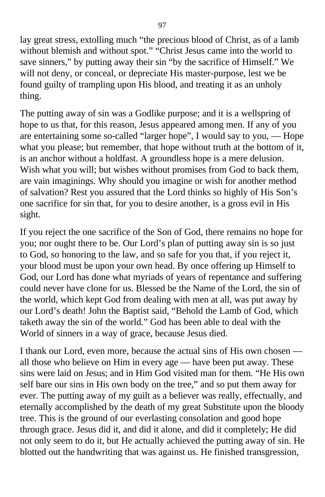lay great stress, extolling much "the precious blood of Christ, as of a lamb without blemish and without spot." "Christ Jesus came into the world to save sinners," by putting away their sin "by the sacrifice of Himself." We will not deny, or conceal, or depreciate His master-purpose, lest we be found guilty of trampling upon His blood, and treating it as an unholy thing.

The putting away of sin was a Godlike purpose; and it is a wellspring of hope to us that, for this reason, Jesus appeared among men. If any of you are entertaining some so-called "larger hope", I would say to you, — Hope what you please; but remember, that hope without truth at the bottom of it, is an anchor without a holdfast. A groundless hope is a mere delusion. Wish what you will; but wishes without promises from God to back them, are vain imaginings. Why should you imagine or wish for another method of salvation? Rest you assured that the Lord thinks so highly of His Son's one sacrifice for sin that, for you to desire another, is a gross evil in His sight.

If you reject the one sacrifice of the Son of God, there remains no hope for you; nor ought there to be. Our Lord's plan of putting away sin is so just to God, so honoring to the law, and so safe for you that, if you reject it, your blood must be upon your own head. By once offering up Himself to God, our Lord has done what myriads of years of repentance and suffering could never have clone for us. Blessed be the Name of the Lord, the sin of the world, which kept God from dealing with men at all, was put away by our Lord's death! John the Baptist said, "Behold the Lamb of God, which taketh away the sin of the world." God has been able to deal with the World of sinners in a way of grace, because Jesus died.

I thank our Lord, even more, because the actual sins of His own chosen all those who believe on Him in every age — have been put away. These sins were laid on Jesus; and in Him God visited man for them. "He His own self bare our sins in His own body on the tree," and so put them away for ever. The putting away of my guilt as a believer was really, effectually, and eternally accomplished by the death of my great Substitute upon the bloody tree. This is the ground of our everlasting consolation and good hope through grace. Jesus did it, and did it alone, and did it completely; He did not only seem to do it, but He actually achieved the putting away of sin. He blotted out the handwriting that was against us. He finished transgression,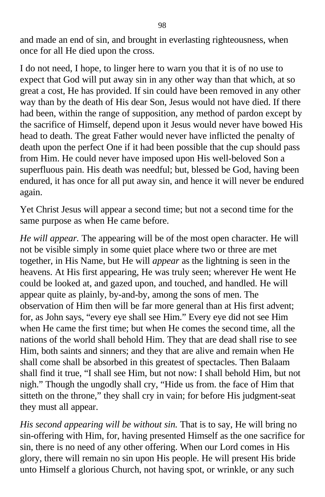and made an end of sin, and brought in everlasting righteousness, when once for all He died upon the cross.

I do not need, I hope, to linger here to warn you that it is of no use to expect that God will put away sin in any other way than that which, at so great a cost, He has provided. If sin could have been removed in any other way than by the death of His dear Son, Jesus would not have died. If there had been, within the range of supposition, any method of pardon except by the sacrifice of Himself, depend upon it Jesus would never have bowed His head to death. The great Father would never have inflicted the penalty of death upon the perfect One if it had been possible that the cup should pass from Him. He could never have imposed upon His well-beloved Son a superfluous pain. His death was needful; but, blessed be God, having been endured, it has once for all put away sin, and hence it will never be endured again.

Yet Christ Jesus will appear a second time; but not a second time for the same purpose as when He came before.

*He will appear.* The appearing will be of the most open character. He will not be visible simply in some quiet place where two or three are met together, in His Name, but He will *appear* as the lightning is seen in the heavens. At His first appearing, He was truly seen; wherever He went He could be looked at, and gazed upon, and touched, and handled. He will appear quite as plainly, by-and-by, among the sons of men. The observation of Him then will be far more general than at His first advent; for, as John says, "every eye shall see Him." Every eye did not see Him when He came the first time; but when He comes the second time, all the nations of the world shall behold Him. They that are dead shall rise to see Him, both saints and sinners; and they that are alive and remain when He shall come shall be absorbed in this greatest of spectacles. Then Balaam shall find it true, "I shall see Him, but not now: I shall behold Him, but not nigh." Though the ungodly shall cry, "Hide us from. the face of Him that sitteth on the throne," they shall cry in vain; for before His judgment-seat they must all appear.

*His second appearing will be without sin.* That is to say, He will bring no sin-offering with Him, for, having presented Himself as the one sacrifice for sin, there is no need of any other offering. When our Lord comes in His glory, there will remain no sin upon His people. He will present His bride unto Himself a glorious Church, not having spot, or wrinkle, or any such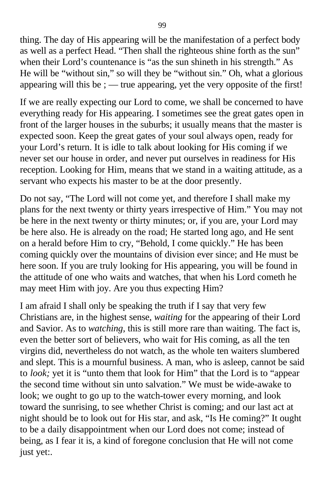thing. The day of His appearing will be the manifestation of a perfect body as well as a perfect Head. "Then shall the righteous shine forth as the sun" when their Lord's countenance is "as the sun shineth in his strength." As He will be "without sin," so will they be "without sin." Oh, what a glorious appearing will this be ; — true appearing, yet the very opposite of the first!

If we are really expecting our Lord to come, we shall be concerned to have everything ready for His appearing. I sometimes see the great gates open in front of the larger houses in the suburbs; it usually means that the master is expected soon. Keep the great gates of your soul always open, ready for your Lord's return. It is idle to talk about looking for His coming if we never set our house in order, and never put ourselves in readiness for His reception. Looking for Him, means that we stand in a waiting attitude, as a servant who expects his master to be at the door presently.

Do not say, "The Lord will not come yet, and therefore I shall make my plans for the next twenty or thirty years irrespective of Him." You may not be here in the next twenty or thirty minutes; or, if you are, your Lord may be here also. He is already on the road; He started long ago, and He sent on a herald before Him to cry, "Behold, I come quickly." He has been coming quickly over the mountains of division ever since; and He must be here soon. If you are truly looking for His appearing, you will be found in the attitude of one who waits and watches, that when his Lord cometh he may meet Him with joy. Are you thus expecting Him?

I am afraid I shall only be speaking the truth if I say that very few Christians are, in the highest sense, *waiting* for the appearing of their Lord and Savior. As to *watching,* this is still more rare than waiting. The fact is, even the better sort of believers, who wait for His coming, as all the ten virgins did, nevertheless do not watch, as the whole ten waiters slumbered and slept. This is a mournful business. A man, who is asleep, cannot be said to *look;* yet it is "unto them that look for Him" that the Lord is to "appear the second time without sin unto salvation." We must be wide-awake to look; we ought to go up to the watch-tower every morning, and look toward the sunrising, to see whether Christ is coming; and our last act at night should be to look out for His star, and ask, "Is He coming?" It ought to be a daily disappointment when our Lord does not come; instead of being, as I fear it is, a kind of foregone conclusion that He will not come just yet:.